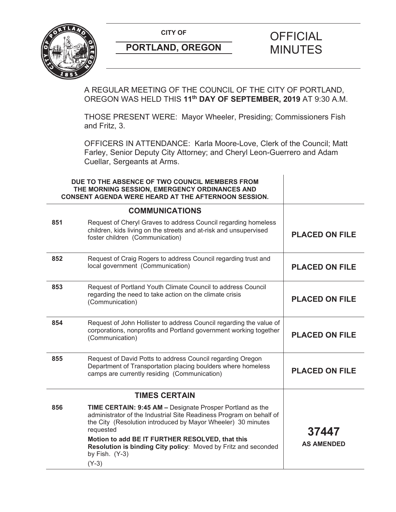

(Y-3)

A REGULAR MEETING OF THE COUNCIL OF THE CITY OF PORTLAND, OREGON WAS HELD THIS **11th DAY OF SEPTEMBER, 2019** AT 9:30 A.M.

THOSE PRESENT WERE: Mayor Wheeler, Presiding; Commissioners Fish and Fritz, 3.

OFFICERS IN ATTENDANCE: Karla Moore-Love, Clerk of the Council; Matt Farley, Senior Deputy City Attorney; and Cheryl Leon-Guerrero and Adam Cuellar, Sergeants at Arms.

|     | DUE TO THE ABSENCE OF TWO COUNCIL MEMBERS FROM<br>THE MORNING SESSION, EMERGENCY ORDINANCES AND<br><b>CONSENT AGENDA WERE HEARD AT THE AFTERNOON SESSION.</b>                                                                                                           |                       |
|-----|-------------------------------------------------------------------------------------------------------------------------------------------------------------------------------------------------------------------------------------------------------------------------|-----------------------|
|     | <b>COMMUNICATIONS</b>                                                                                                                                                                                                                                                   |                       |
| 851 | Request of Cheryl Graves to address Council regarding homeless<br>children, kids living on the streets and at-risk and unsupervised<br>foster children (Communication)                                                                                                  | <b>PLACED ON FILE</b> |
| 852 | Request of Craig Rogers to address Council regarding trust and<br>local government (Communication)                                                                                                                                                                      | <b>PLACED ON FILE</b> |
| 853 | Request of Portland Youth Climate Council to address Council<br>regarding the need to take action on the climate crisis<br>(Communication)                                                                                                                              | <b>PLACED ON FILE</b> |
| 854 | Request of John Hollister to address Council regarding the value of<br>corporations, nonprofits and Portland government working together<br>(Communication)                                                                                                             | <b>PLACED ON FILE</b> |
| 855 | Request of David Potts to address Council regarding Oregon<br>Department of Transportation placing boulders where homeless<br>camps are currently residing (Communication)                                                                                              | <b>PLACED ON FILE</b> |
|     | <b>TIMES CERTAIN</b>                                                                                                                                                                                                                                                    |                       |
| 856 | <b>TIME CERTAIN: 9:45 AM - Designate Prosper Portland as the</b><br>administrator of the Industrial Site Readiness Program on behalf of<br>the City (Resolution introduced by Mayor Wheeler) 30 minutes<br>requested<br>Motion to add BE IT FURTHER RESOLVED, that this | 37447                 |
|     | Resolution is binding City policy: Moved by Fritz and seconded<br>by Fish. (Y-3)                                                                                                                                                                                        | <b>AS AMENDED</b>     |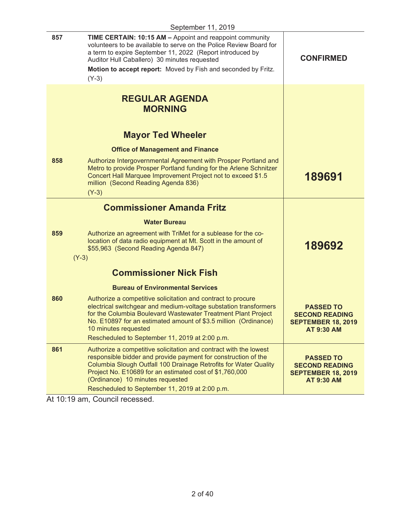|     | September 11, 2019                                                                                                                                                                                                                                                                                                                                       |                                                                                             |
|-----|----------------------------------------------------------------------------------------------------------------------------------------------------------------------------------------------------------------------------------------------------------------------------------------------------------------------------------------------------------|---------------------------------------------------------------------------------------------|
| 857 | TIME CERTAIN: 10:15 AM - Appoint and reappoint community<br>volunteers to be available to serve on the Police Review Board for<br>a term to expire September 11, 2022 (Report introduced by<br>Auditor Hull Caballero) 30 minutes requested<br>Motion to accept report: Moved by Fish and seconded by Fritz.<br>$(Y-3)$                                  | <b>CONFIRMED</b>                                                                            |
|     | <b>REGULAR AGENDA</b><br><b>MORNING</b>                                                                                                                                                                                                                                                                                                                  |                                                                                             |
|     | <b>Mayor Ted Wheeler</b>                                                                                                                                                                                                                                                                                                                                 |                                                                                             |
|     | <b>Office of Management and Finance</b>                                                                                                                                                                                                                                                                                                                  |                                                                                             |
| 858 | Authorize Intergovernmental Agreement with Prosper Portland and<br>Metro to provide Prosper Portland funding for the Arlene Schnitzer<br>Concert Hall Marquee Improvement Project not to exceed \$1.5<br>million (Second Reading Agenda 836)<br>$(Y-3)$                                                                                                  | 189691                                                                                      |
|     | <b>Commissioner Amanda Fritz</b>                                                                                                                                                                                                                                                                                                                         |                                                                                             |
|     | <b>Water Bureau</b>                                                                                                                                                                                                                                                                                                                                      |                                                                                             |
| 859 | Authorize an agreement with TriMet for a sublease for the co-<br>location of data radio equipment at Mt. Scott in the amount of<br>\$55,963 (Second Reading Agenda 847)<br>$(Y-3)$                                                                                                                                                                       | 189692                                                                                      |
|     |                                                                                                                                                                                                                                                                                                                                                          |                                                                                             |
|     | <b>Commissioner Nick Fish</b>                                                                                                                                                                                                                                                                                                                            |                                                                                             |
|     | <b>Bureau of Environmental Services</b>                                                                                                                                                                                                                                                                                                                  |                                                                                             |
| 860 | Authorize a competitive solicitation and contract to procure<br>electrical switchgear and medium-voltage substation transformers<br>for the Columbia Boulevard Wastewater Treatment Plant Project<br>No. E10897 for an estimated amount of \$3.5 million (Ordinance)<br>10 minutes requested<br>Rescheduled to September 11, 2019 at 2:00 p.m.           | <b>PASSED TO</b><br><b>SECOND READING</b><br><b>SEPTEMBER 18, 2019</b><br><b>AT 9:30 AM</b> |
| 861 | Authorize a competitive solicitation and contract with the lowest<br>responsible bidder and provide payment for construction of the<br>Columbia Slough Outfall 100 Drainage Retrofits for Water Quality<br>Project No. E10689 for an estimated cost of \$1,760,000<br>(Ordinance) 10 minutes requested<br>Rescheduled to September 11, 2019 at 2:00 p.m. | <b>PASSED TO</b><br><b>SECOND READING</b><br><b>SEPTEMBER 18, 2019</b><br><b>AT 9:30 AM</b> |
|     |                                                                                                                                                                                                                                                                                                                                                          |                                                                                             |

At 10:19 am, Council recessed.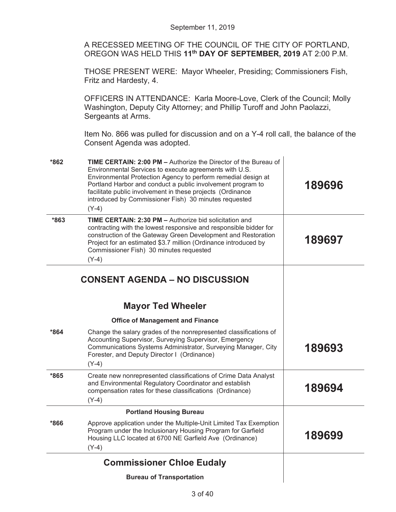A RECESSED MEETING OF THE COUNCIL OF THE CITY OF PORTLAND, OREGON WAS HELD THIS **11th DAY OF SEPTEMBER, 2019** AT 2:00 P.M.

THOSE PRESENT WERE: Mayor Wheeler, Presiding; Commissioners Fish, Fritz and Hardesty, 4.

OFFICERS IN ATTENDANCE: Karla Moore-Love, Clerk of the Council; Molly Washington, Deputy City Attorney; and Phillip Turoff and John Paolazzi, Sergeants at Arms.

Item No. 866 was pulled for discussion and on a Y-4 roll call, the balance of the Consent Agenda was adopted.

| $*862$ | TIME CERTAIN: 2:00 PM - Authorize the Director of the Bureau of<br>Environmental Services to execute agreements with U.S.<br>Environmental Protection Agency to perform remedial design at<br>Portland Harbor and conduct a public involvement program to<br>facilitate public involvement in these projects (Ordinance<br>introduced by Commissioner Fish) 30 minutes requested<br>$(Y-4)$ | 189696 |
|--------|---------------------------------------------------------------------------------------------------------------------------------------------------------------------------------------------------------------------------------------------------------------------------------------------------------------------------------------------------------------------------------------------|--------|
| *863   | TIME CERTAIN: 2:30 PM - Authorize bid solicitation and<br>contracting with the lowest responsive and responsible bidder for<br>construction of the Gateway Green Development and Restoration<br>Project for an estimated \$3.7 million (Ordinance introduced by<br>Commissioner Fish) 30 minutes requested<br>$(Y-4)$                                                                       | 189697 |
|        | <b>CONSENT AGENDA - NO DISCUSSION</b>                                                                                                                                                                                                                                                                                                                                                       |        |
|        | <b>Mayor Ted Wheeler</b>                                                                                                                                                                                                                                                                                                                                                                    |        |
|        | <b>Office of Management and Finance</b>                                                                                                                                                                                                                                                                                                                                                     |        |
| $*864$ | Change the salary grades of the nonrepresented classifications of<br>Accounting Supervisor, Surveying Supervisor, Emergency<br>Communications Systems Administrator, Surveying Manager, City<br>Forester, and Deputy Director I (Ordinance)<br>$(Y-4)$                                                                                                                                      | 189693 |
| *865   | Create new nonrepresented classifications of Crime Data Analyst<br>and Environmental Regulatory Coordinator and establish<br>compensation rates for these classifications (Ordinance)<br>$(Y-4)$                                                                                                                                                                                            | 189694 |
|        | <b>Portland Housing Bureau</b>                                                                                                                                                                                                                                                                                                                                                              |        |
| $*866$ | Approve application under the Multiple-Unit Limited Tax Exemption<br>Program under the Inclusionary Housing Program for Garfield<br>Housing LLC located at 6700 NE Garfield Ave (Ordinance)<br>$(Y-4)$                                                                                                                                                                                      | 189699 |
|        | <b>Commissioner Chloe Eudaly</b>                                                                                                                                                                                                                                                                                                                                                            |        |
|        | <b>Bureau of Transportation</b>                                                                                                                                                                                                                                                                                                                                                             |        |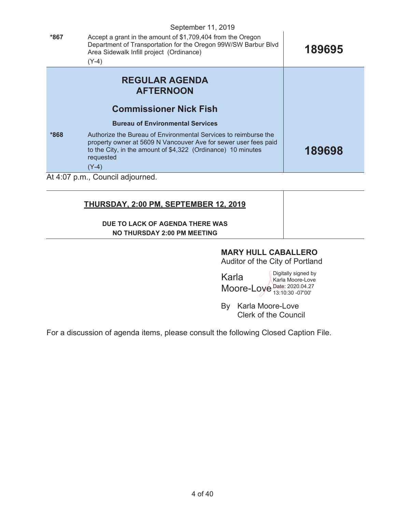|        | September 11, 2019                                                                                                                                                                                                         |        |
|--------|----------------------------------------------------------------------------------------------------------------------------------------------------------------------------------------------------------------------------|--------|
| *867   | Accept a grant in the amount of \$1,709,404 from the Oregon<br>Department of Transportation for the Oregon 99W/SW Barbur Blvd<br>Area Sidewalk Infill project (Ordinance)<br>$(Y-4)$                                       | 189695 |
|        | <b>REGULAR AGENDA</b><br><b>AFTERNOON</b>                                                                                                                                                                                  |        |
|        | <b>Commissioner Nick Fish</b>                                                                                                                                                                                              |        |
|        | <b>Bureau of Environmental Services</b>                                                                                                                                                                                    |        |
| $*868$ | Authorize the Bureau of Environmental Services to reimburse the<br>property owner at 5609 N Vancouver Ave for sewer user fees paid<br>to the City, in the amount of \$4,322 (Ordinance) 10 minutes<br>requested<br>$(Y-4)$ | 189698 |
|        | At 4:07 p.m., Council adjourned.                                                                                                                                                                                           |        |

### **THURSDAY, 2:00 PM, SEPTEMBER 12, 2019**

#### **DUE TO LACK OF AGENDA THERE WAS NO THURSDAY 2:00 PM MEETING**

## **MARY HULL CABALLERO**

Auditor of the City of Portland

Karla Moore-Love Date: 2020.04.27 Digitally signed by Karla Moore-Love 13:10:30 -07'00'

By Karla Moore-Love Clerk of the Council

For a discussion of agenda items, please consult the following Closed Caption File.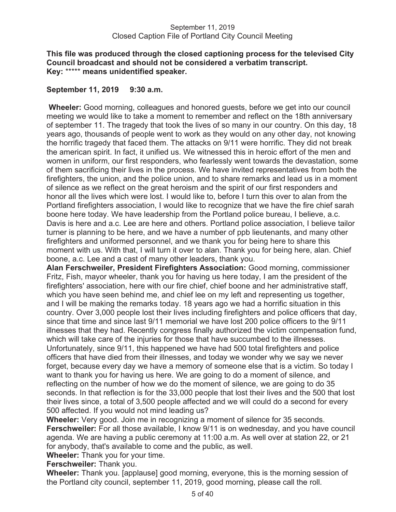### **This file was produced through the closed captioning process for the televised City Council broadcast and should not be considered a verbatim transcript. Key:** \*\*\*\*\* **means unidentified speaker.**

### **September 11, 2019 9:30 a.m.**

 **Wheeler:** Good morning, colleagues and honored guests, before we get into our council meeting we would like to take a moment to remember and reflect on the 18th anniversary of september 11. The tragedy that took the lives of so many in our country. On this day, 18 years ago, thousands of people went to work as they would on any other day, not knowing the horrific tragedy that faced them. The attacks on 9/11 were horrific. They did not break the american spirit. In fact, it unified us. We witnessed this in heroic effort of the men and women in uniform, our first responders, who fearlessly went towards the devastation, some of them sacrificing their lives in the process. We have invited representatives from both the firefighters, the union, and the police union, and to share remarks and lead us in a moment of silence as we reflect on the great heroism and the spirit of our first responders and honor all the lives which were lost. I would like to, before I turn this over to alan from the Portland firefighters association, I would like to recognize that we have the fire chief sarah boone here today. We have leadership from the Portland police bureau, I believe, a.c. Davis is here and a.c. Lee are here and others. Portland police association, I believe tailor turner is planning to be here, and we have a number of ppb lieutenants, and many other firefighters and uniformed personnel, and we thank you for being here to share this moment with us. With that, I will turn it over to alan. Thank you for being here, alan. Chief boone, a.c. Lee and a cast of many other leaders, thank you.

**Alan Ferschweiler, President Firefighters Association:** Good morning, commissioner Fritz, Fish, mayor wheeler, thank you for having us here today, I am the president of the firefighters' association, here with our fire chief, chief boone and her administrative staff, which you have seen behind me, and chief lee on my left and representing us together, and I will be making the remarks today. 18 years ago we had a horrific situation in this country. Over 3,000 people lost their lives including firefighters and police officers that day, since that time and since last 9/11 memorial we have lost 200 police officers to the 9/11 illnesses that they had. Recently congress finally authorized the victim compensation fund, which will take care of the injuries for those that have succumbed to the illnesses. Unfortunately, since 9/11, this happened we have had 500 total firefighters and police officers that have died from their illnesses, and today we wonder why we say we never forget, because every day we have a memory of someone else that is a victim. So today I want to thank you for having us here. We are going to do a moment of silence, and reflecting on the number of how we do the moment of silence, we are going to do 35 seconds. In that reflection is for the 33,000 people that lost their lives and the 500 that lost their lives since, a total of 3,500 people affected and we will could do a second for every 500 affected. If you would not mind leading us?

**Wheeler:** Very good. Join me in recognizing a moment of silence for 35 seconds. **Ferschweiler:** For all those available, I know 9/11 is on wednesday, and you have council agenda. We are having a public ceremony at 11:00 a.m. As well over at station 22, or 21 for anybody, that's available to come and the public, as well.

**Wheeler:** Thank you for your time.

**Ferschweiler:** Thank you.

**Wheeler:** Thank you. [applause] good morning, everyone, this is the morning session of the Portland city council, september 11, 2019, good morning, please call the roll.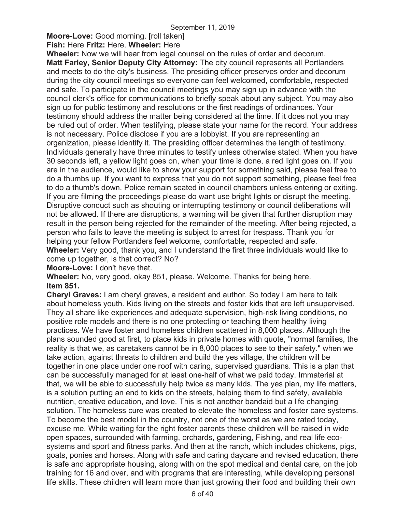# **Moore-Love:** Good morning. [roll taken]

**Fish:** Here **Fritz:** Here. **Wheeler:** Here

**Wheeler:** Now we will hear from legal counsel on the rules of order and decorum. **Matt Farley, Senior Deputy City Attorney:** The city council represents all Portlanders and meets to do the city's business. The presiding officer preserves order and decorum during the city council meetings so everyone can feel welcomed, comfortable, respected and safe. To participate in the council meetings you may sign up in advance with the council clerk's office for communications to briefly speak about any subject. You may also sign up for public testimony and resolutions or the first readings of ordinances. Your testimony should address the matter being considered at the time. If it does not you may be ruled out of order. When testifying, please state your name for the record. Your address is not necessary. Police disclose if you are a lobbyist. If you are representing an organization, please identify it. The presiding officer determines the length of testimony. Individuals generally have three minutes to testify unless otherwise stated. When you have 30 seconds left, a yellow light goes on, when your time is done, a red light goes on. If you are in the audience, would like to show your support for something said, please feel free to do a thumbs up. If you want to express that you do not support something, please feel free to do a thumb's down. Police remain seated in council chambers unless entering or exiting. If you are filming the proceedings please do want use bright lights or disrupt the meeting. Disruptive conduct such as shouting or interrupting testimony or council deliberations will not be allowed. If there are disruptions, a warning will be given that further disruption may result in the person being rejected for the remainder of the meeting. After being rejected, a person who fails to leave the meeting is subject to arrest for trespass. Thank you for helping your fellow Portlanders feel welcome, comfortable, respected and safe. **Wheeler:** Very good, thank you, and I understand the first three individuals would like to come up together, is that correct? No?

**Moore-Love:** I don't have that.

**Wheeler:** No, very good, okay 851, please. Welcome. Thanks for being here. **Item 851.** 

**Cheryl Graves:** I am cheryl graves, a resident and author. So today I am here to talk about homeless youth. Kids living on the streets and foster kids that are left unsupervised. They all share like experiences and adequate supervision, high-risk living conditions, no positive role models and there is no one protecting or teaching them healthy living practices. We have foster and homeless children scattered in 8,000 places. Although the plans sounded good at first, to place kids in private homes with quote, "normal families, the reality is that we, as caretakers cannot be in 8,000 places to see to their safety." when we take action, against threats to children and build the yes village, the children will be together in one place under one roof with caring, supervised guardians. This is a plan that can be successfully managed for at least one-half of what we paid today. Immaterial at that, we will be able to successfully help twice as many kids. The yes plan, my life matters, is a solution putting an end to kids on the streets, helping them to find safety, available nutrition, creative education, and love. This is not another bandaid but a life changing solution. The homeless cure was created to elevate the homeless and foster care systems. To become the best model in the country, not one of the worst as we are rated today, excuse me. While waiting for the right foster parents these children will be raised in wide open spaces, surrounded with farming, orchards, gardening, Fishing, and real life ecosystems and sport and fitness parks. And then at the ranch, which includes chickens, pigs, goats, ponies and horses. Along with safe and caring daycare and revised education, there is safe and appropriate housing, along with on the spot medical and dental care, on the job training for 16 and over, and with programs that are interesting, while developing personal life skills. These children will learn more than just growing their food and building their own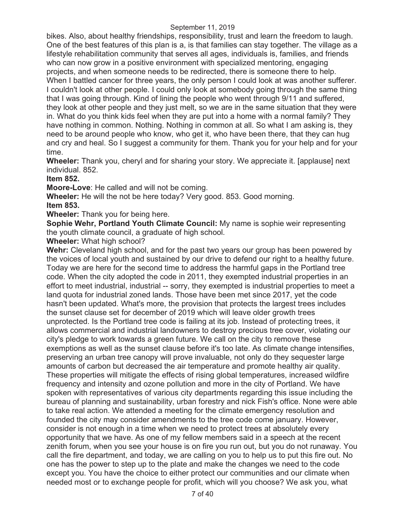bikes. Also, about healthy friendships, responsibility, trust and learn the freedom to laugh. One of the best features of this plan is a, is that families can stay together. The village as a lifestyle rehabilitation community that serves all ages, individuals is, families, and friends who can now grow in a positive environment with specialized mentoring, engaging projects, and when someone needs to be redirected, there is someone there to help. When I battled cancer for three years, the only person I could look at was another sufferer. I couldn't look at other people. I could only look at somebody going through the same thing that I was going through. Kind of lining the people who went through 9/11 and suffered, they look at other people and they just melt, so we are in the same situation that they were in. What do you think kids feel when they are put into a home with a normal family? They have nothing in common. Nothing. Nothing in common at all. So what I am asking is, they need to be around people who know, who get it, who have been there, that they can hug and cry and heal. So I suggest a community for them. Thank you for your help and for your time.

**Wheeler:** Thank you, cheryl and for sharing your story. We appreciate it. [applause] next individual. 852.

**Item 852.** 

**Moore-Love**: He called and will not be coming.

**Wheeler:** He will the not be here today? Very good. 853. Good morning. **Item 853.** 

**Wheeler:** Thank you for being here.

**Sophie Wehr, Portland Youth Climate Council:** My name is sophie weir representing the youth climate council, a graduate of high school.

**Wheeler:** What high school?

**Wehr:** Cleveland high school, and for the past two years our group has been powered by the voices of local youth and sustained by our drive to defend our right to a healthy future. Today we are here for the second time to address the harmful gaps in the Portland tree code. When the city adopted the code in 2011, they exempted industrial properties in an effort to meet industrial, industrial -- sorry, they exempted is industrial properties to meet a land quota for industrial zoned lands. Those have been met since 2017, yet the code hasn't been updated. What's more, the provision that protects the largest trees includes the sunset clause set for december of 2019 which will leave older growth trees unprotected. Is the Portland tree code is failing at its job. Instead of protecting trees, it allows commercial and industrial landowners to destroy precious tree cover, violating our city's pledge to work towards a green future. We call on the city to remove these exemptions as well as the sunset clause before it's too late. As climate change intensifies, preserving an urban tree canopy will prove invaluable, not only do they sequester large amounts of carbon but decreased the air temperature and promote healthy air quality. These properties will mitigate the effects of rising global temperatures, increased wildfire frequency and intensity and ozone pollution and more in the city of Portland. We have spoken with representatives of various city departments regarding this issue including the bureau of planning and sustainability, urban forestry and nick Fish's office. None were able to take real action. We attended a meeting for the climate emergency resolution and founded the city may consider amendments to the tree code come january. However, consider is not enough in a time when we need to protect trees at absolutely every opportunity that we have. As one of my fellow members said in a speech at the recent zenith forum, when you see your house is on fire you run out, but you do not runaway. You call the fire department, and today, we are calling on you to help us to put this fire out. No one has the power to step up to the plate and make the changes we need to the code except you. You have the choice to either protect our communities and our climate when needed most or to exchange people for profit, which will you choose? We ask you, what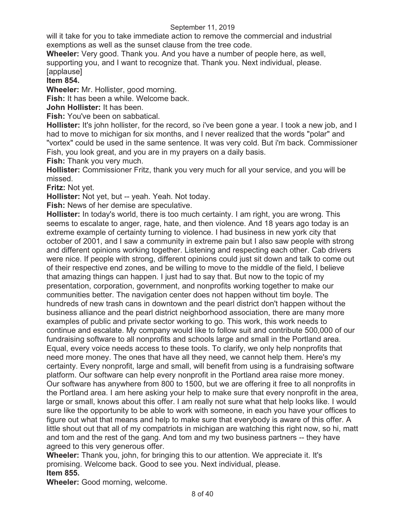will it take for you to take immediate action to remove the commercial and industrial exemptions as well as the sunset clause from the tree code.

**Wheeler:** Very good. Thank you. And you have a number of people here, as well, supporting you, and I want to recognize that. Thank you. Next individual, please. [applause]

### **Item 854.**

**Wheeler:** Mr. Hollister, good morning.

**Fish:** It has been a while. Welcome back.

**John Hollister:** It has been.

**Fish:** You've been on sabbatical.

**Hollister:** It's john hollister, for the record, so i've been gone a year. I took a new job, and I had to move to michigan for six months, and I never realized that the words "polar" and "vortex" could be used in the same sentence. It was very cold. But i'm back. Commissioner Fish, you look great, and you are in my prayers on a daily basis.

**Fish:** Thank you very much.

**Hollister:** Commissioner Fritz, thank you very much for all your service, and you will be missed.

**Fritz:** Not yet.

**Hollister:** Not yet, but -- yeah. Yeah. Not today.

**Fish:** News of her demise are speculative.

**Hollister:** In today's world, there is too much certainty. I am right, you are wrong. This seems to escalate to anger, rage, hate, and then violence. And 18 years ago today is an extreme example of certainty turning to violence. I had business in new york city that october of 2001, and I saw a community in extreme pain but I also saw people with strong and different opinions working together. Listening and respecting each other. Cab drivers were nice. If people with strong, different opinions could just sit down and talk to come out of their respective end zones, and be willing to move to the middle of the field, I believe that amazing things can happen. I just had to say that. But now to the topic of my presentation, corporation, government, and nonprofits working together to make our communities better. The navigation center does not happen without tim boyle. The hundreds of new trash cans in downtown and the pearl district don't happen without the business alliance and the pearl district neighborhood association, there are many more examples of public and private sector working to go. This work, this work needs to continue and escalate. My company would like to follow suit and contribute 500,000 of our fundraising software to all nonprofits and schools large and small in the Portland area. Equal, every voice needs access to these tools. To clarify, we only help nonprofits that need more money. The ones that have all they need, we cannot help them. Here's my certainty. Every nonprofit, large and small, will benefit from using is a fundraising software platform. Our software can help every nonprofit in the Portland area raise more money. Our software has anywhere from 800 to 1500, but we are offering it free to all nonprofits in the Portland area. I am here asking your help to make sure that every nonprofit in the area, large or small, knows about this offer. I am really not sure what that help looks like. I would sure like the opportunity to be able to work with someone, in each you have your offices to figure out what that means and help to make sure that everybody is aware of this offer. A little shout out that all of my compatriots in michigan are watching this right now, so hi, matt and tom and the rest of the gang. And tom and my two business partners -- they have agreed to this very generous offer.

**Wheeler:** Thank you, john, for bringing this to our attention. We appreciate it. It's promising. Welcome back. Good to see you. Next individual, please. **Item 855.** 

**Wheeler:** Good morning, welcome.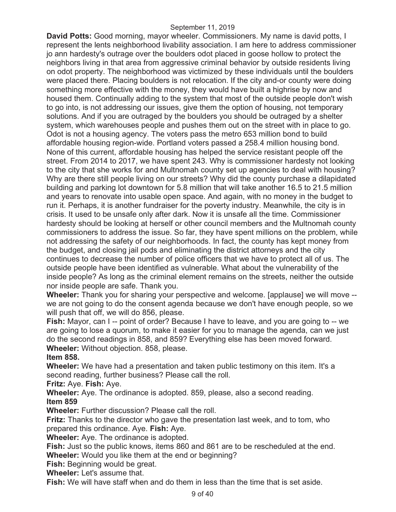**David Potts:** Good morning, mayor wheeler. Commissioners. My name is david potts, I represent the lents neighborhood livability association. I am here to address commissioner jo ann hardesty's outrage over the boulders odot placed in goose hollow to protect the neighbors living in that area from aggressive criminal behavior by outside residents living on odot property. The neighborhood was victimized by these individuals until the boulders were placed there. Placing boulders is not relocation. If the city and-or county were doing something more effective with the money, they would have built a highrise by now and housed them. Continually adding to the system that most of the outside people don't wish to go into, is not addressing our issues, give them the option of housing, not temporary solutions. And if you are outraged by the boulders you should be outraged by a shelter system, which warehouses people and pushes them out on the street with in place to go. Odot is not a housing agency. The voters pass the metro 653 million bond to build affordable housing region-wide. Portland voters passed a 258.4 million housing bond. None of this current, affordable housing has helped the service resistant people off the street. From 2014 to 2017, we have spent 243. Why is commissioner hardesty not looking to the city that she works for and Multnomah county set up agencies to deal with housing? Why are there still people living on our streets? Why did the county purchase a dilapidated building and parking lot downtown for 5.8 million that will take another 16.5 to 21.5 million and years to renovate into usable open space. And again, with no money in the budget to run it. Perhaps, it is another fundraiser for the poverty industry. Meanwhile, the city is in crisis. It used to be unsafe only after dark. Now it is unsafe all the time. Commissioner hardesty should be looking at herself or other council members and the Multnomah county commissioners to address the issue. So far, they have spent millions on the problem, while not addressing the safety of our neighborhoods. In fact, the county has kept money from the budget, and closing jail pods and eliminating the district attorneys and the city continues to decrease the number of police officers that we have to protect all of us. The outside people have been identified as vulnerable. What about the vulnerability of the inside people? As long as the criminal element remains on the streets, neither the outside nor inside people are safe. Thank you.

**Wheeler:** Thank you for sharing your perspective and welcome. [applause] we will move - we are not going to do the consent agenda because we don't have enough people, so we will push that off, we will do 856, please.

**Fish:** Mayor, can I -- point of order? Because I have to leave, and you are going to -- we are going to lose a quorum, to make it easier for you to manage the agenda, can we just do the second readings in 858, and 859? Everything else has been moved forward. **Wheeler:** Without objection. 858, please.

### **Item 858.**

**Wheeler:** We have had a presentation and taken public testimony on this item. It's a second reading, further business? Please call the roll.

**Fritz:** Aye. **Fish:** Aye.

**Wheeler:** Aye. The ordinance is adopted. 859, please, also a second reading. **Item 859** 

**Wheeler:** Further discussion? Please call the roll.

**Fritz:** Thanks to the director who gave the presentation last week, and to tom, who prepared this ordinance. Aye. **Fish:** Aye.

**Wheeler:** Aye. The ordinance is adopted.

**Fish:** Just so the public knows, items 860 and 861 are to be rescheduled at the end. **Wheeler:** Would you like them at the end or beginning?

**Fish:** Beginning would be great.

**Wheeler:** Let's assume that.

**Fish:** We will have staff when and do them in less than the time that is set aside.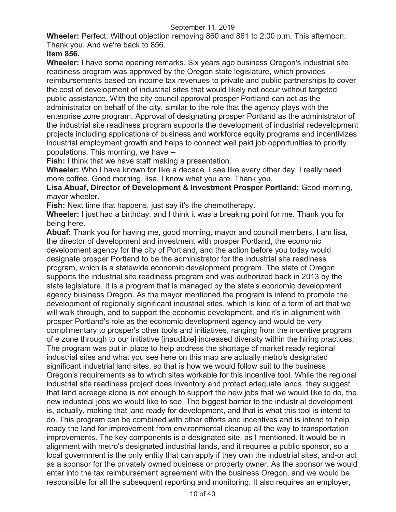**Wheeler:** Perfect. Without objection removing 860 and 861 to 2:00 p.m. This afternoon. Thank you. And we're back to 856.

### **Item 856.**

**Wheeler:** I have some opening remarks. Six years ago business Oregon's industrial site readiness program was approved by the Oregon state legislature, which provides reimbursements based on income tax revenues to private and public partnerships to cover the cost of development of industrial sites that would likely not occur without targeted public assistance. With the city council approval prosper Portland can act as the administrator on behalf of the city, similar to the role that the agency plays with the enterprise zone program. Approval of designating prosper Portland as the administrator of the industrial site readiness program supports the development of industrial redevelopment projects including applications of business and workforce equity programs and incentivizes industrial employment growth and helps to connect well paid job opportunities to priority populations. This morning, we have --

**Fish:** I think that we have staff making a presentation.

**Wheeler:** Who I have known for like a decade. I see like every other day. I really need more coffee. Good morning, lisa, I know what you are. Thank you.

**Lisa Abuaf, Director of Development & Investment Prosper Portland:** Good morning, mayor wheeler.

**Fish:** Next time that happens, just say it's the chemotherapy.

**Wheeler:** I just had a birthday, and I think it was a breaking point for me. Thank you for being here.

**Abuaf:** Thank you for having me, good morning, mayor and council members, I am lisa, the director of development and investment with prosper Portland, the economic development agency for the city of Portland, and the action before you today would designate prosper Portland to be the administrator for the industrial site readiness program, which is a statewide economic development program. The state of Oregon supports the industrial site readiness program and was authorized back in 2013 by the state legislature. It is a program that is managed by the state's economic development agency business Oregon. As the mayor mentioned the program is intend to promote the development of regionally significant industrial sites, which is kind of a term of art that we will walk through, and to support the economic development, and it's in alignment with prosper Portland's role as the economic development agency and would be very complimentary to prosper's other tools and initiatives, ranging from the incentive program of e zone through to our initiative [inaudible] increased diversity within the hiring practices. The program was put in place to help address the shortage of market ready regional industrial sites and what you see here on this map are actually metro's designated significant industrial land sites, so that is how we would follow suit to the business Oregon's requirements as to which sites workable for this incentive tool. While the regional industrial site readiness project does inventory and protect adequate lands, they suggest that land acreage alone is not enough to support the new jobs that we would like to do, the new industrial jobs we would like to see. The biggest barrier to the industrial development is, actually, making that land ready for development, and that is what this tool is intend to do. This program can be combined with other efforts and incentives and is intend to help ready the land for improvement from environmental cleanup all the way to transportation improvements. The key components is a designated site, as I mentioned. It would be in alignment with metro's designated industrial lands, and it requires a public sponsor, so a local government is the only entity that can apply if they own the industrial sites, and-or act as a sponsor for the privately owned business or property owner. As the sponsor we would enter into the tax reimbursement agreement with the business Oregon, and we would be responsible for all the subsequent reporting and monitoring. It also requires an employer,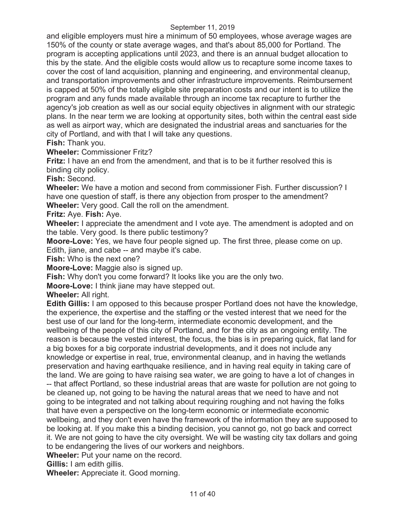and eligible employers must hire a minimum of 50 employees, whose average wages are 150% of the county or state average wages, and that's about 85,000 for Portland. The program is accepting applications until 2023, and there is an annual budget allocation to this by the state. And the eligible costs would allow us to recapture some income taxes to cover the cost of land acquisition, planning and engineering, and environmental cleanup, and transportation improvements and other infrastructure improvements. Reimbursement is capped at 50% of the totally eligible site preparation costs and our intent is to utilize the program and any funds made available through an income tax recapture to further the agency's job creation as well as our social equity objectives in alignment with our strategic plans. In the near term we are looking at opportunity sites, both within the central east side as well as airport way, which are designated the industrial areas and sanctuaries for the city of Portland, and with that I will take any questions.

**Fish:** Thank you.

**Wheeler:** Commissioner Fritz?

**Fritz:** I have an end from the amendment, and that is to be it further resolved this is binding city policy.

**Fish:** Second.

**Wheeler:** We have a motion and second from commissioner Fish. Further discussion? I have one question of staff, is there any objection from prosper to the amendment? **Wheeler:** Very good. Call the roll on the amendment.

**Fritz:** Aye. **Fish:** Aye.

**Wheeler:** I appreciate the amendment and I vote aye. The amendment is adopted and on the table. Very good. Is there public testimony?

**Moore-Love:** Yes, we have four people signed up. The first three, please come on up. Edith, jiane, and cabe -- and maybe it's cabe.

**Fish:** Who is the next one?

**Moore-Love:** Maggie also is signed up.

**Fish:** Why don't you come forward? It looks like you are the only two.

**Moore-Love:** I think jiane may have stepped out.

**Wheeler:** All right.

**Edith Gillis:** I am opposed to this because prosper Portland does not have the knowledge, the experience, the expertise and the staffing or the vested interest that we need for the best use of our land for the long-term, intermediate economic development, and the wellbeing of the people of this city of Portland, and for the city as an ongoing entity. The reason is because the vested interest, the focus, the bias is in preparing quick, flat land for a big boxes for a big corporate industrial developments, and it does not include any knowledge or expertise in real, true, environmental cleanup, and in having the wetlands preservation and having earthquake resilience, and in having real equity in taking care of the land. We are going to have raising sea water, we are going to have a lot of changes in

-- that affect Portland, so these industrial areas that are waste for pollution are not going to be cleaned up, not going to be having the natural areas that we need to have and not going to be integrated and not talking about requiring roughing and not having the folks that have even a perspective on the long-term economic or intermediate economic wellbeing, and they don't even have the framework of the information they are supposed to be looking at. If you make this a binding decision, you cannot go, not go back and correct it. We are not going to have the city oversight. We will be wasting city tax dollars and going to be endangering the lives of our workers and neighbors.

**Wheeler:** Put your name on the record.

**Gillis:** I am edith gillis.

**Wheeler:** Appreciate it. Good morning.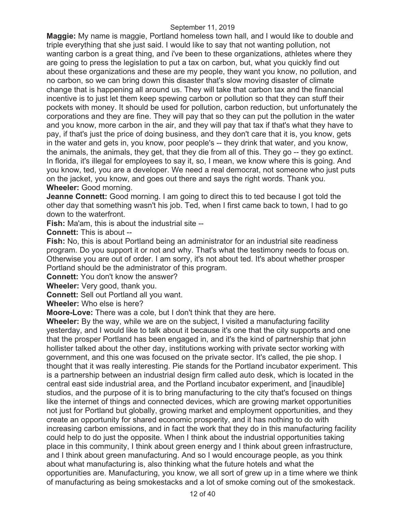**Maggie:** My name is maggie, Portland homeless town hall, and I would like to double and triple everything that she just said. I would like to say that not wanting pollution, not wanting carbon is a great thing, and i've been to these organizations, athletes where they are going to press the legislation to put a tax on carbon, but, what you quickly find out about these organizations and these are my people, they want you know, no pollution, and no carbon, so we can bring down this disaster that's slow moving disaster of climate change that is happening all around us. They will take that carbon tax and the financial incentive is to just let them keep spewing carbon or pollution so that they can stuff their pockets with money. It should be used for pollution, carbon reduction, but unfortunately the corporations and they are fine. They will pay that so they can put the pollution in the water and you know, more carbon in the air, and they will pay that tax if that's what they have to pay, if that's just the price of doing business, and they don't care that it is, you know, gets in the water and gets in, you know, poor people's -- they drink that water, and you know, the animals, the animals, they get, that they die from all of this. They go -- they go extinct. In florida, it's illegal for employees to say it, so, I mean, we know where this is going. And you know, ted, you are a developer. We need a real democrat, not someone who just puts on the jacket, you know, and goes out there and says the right words. Thank you. **Wheeler:** Good morning.

**Jeanne Connett:** Good morning. I am going to direct this to ted because I got told the other day that something wasn't his job. Ted, when I first came back to town, I had to go down to the waterfront.

**Fish:** Ma'am, this is about the industrial site --

**Connett:** This is about --

**Fish:** No, this is about Portland being an administrator for an industrial site readiness program. Do you support it or not and why. That's what the testimony needs to focus on. Otherwise you are out of order. I am sorry, it's not about ted. It's about whether prosper Portland should be the administrator of this program.

**Connett:** You don't know the answer?

**Wheeler:** Very good, thank you.

**Connett:** Sell out Portland all you want.

**Wheeler:** Who else is here?

**Moore-Love:** There was a cole, but I don't think that they are here.

**Wheeler:** By the way, while we are on the subject, I visited a manufacturing facility yesterday, and I would like to talk about it because it's one that the city supports and one that the prosper Portland has been engaged in, and it's the kind of partnership that john hollister talked about the other day, institutions working with private sector working with government, and this one was focused on the private sector. It's called, the pie shop. I thought that it was really interesting. Pie stands for the Portland incubator experiment. This is a partnership between an industrial design firm called auto desk, which is located in the central east side industrial area, and the Portland incubator experiment, and [inaudible] studios, and the purpose of it is to bring manufacturing to the city that's focused on things like the internet of things and connected devices, which are growing market opportunities not just for Portland but globally, growing market and employment opportunities, and they create an opportunity for shared economic prosperity, and it has nothing to do with increasing carbon emissions, and in fact the work that they do in this manufacturing facility could help to do just the opposite. When I think about the industrial opportunities taking place in this community, I think about green energy and I think about green infrastructure, and I think about green manufacturing. And so I would encourage people, as you think about what manufacturing is, also thinking what the future hotels and what the opportunities are. Manufacturing, you know, we all sort of grew up in a time where we think of manufacturing as being smokestacks and a lot of smoke coming out of the smokestack.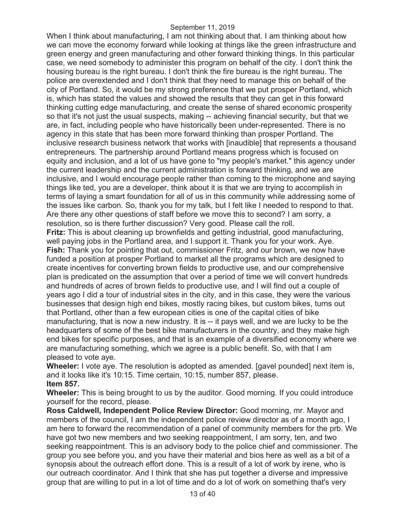When I think about manufacturing, I am not thinking about that. I am thinking about how we can move the economy forward while looking at things like the green infrastructure and green energy and green manufacturing and other forward thinking things. In this particular case, we need somebody to administer this program on behalf of the city. I don't think the housing bureau is the right bureau. I don't think the fire bureau is the right bureau. The police are overextended and I don't think that they need to manage this on behalf of the city of Portland. So, it would be my strong preference that we put prosper Portland, which is, which has stated the values and showed the results that they can get in this forward thinking cutting edge manufacturing, and create the sense of shared economic prosperity so that it's not just the usual suspects, making -- achieving financial security, but that we are, in fact, including people who have historically been under-represented. There is no agency in this state that has been more forward thinking than prosper Portland. The inclusive research business network that works with [inaudible] that represents a thousand entrepreneurs. The partnership around Portland means progress which is focused on equity and inclusion, and a lot of us have gone to "my people's market." this agency under the current leadership and the current administration is forward thinking, and we are inclusive, and I would encourage people rather than coming to the microphone and saying things like ted, you are a developer, think about it is that we are trying to accomplish in terms of laying a smart foundation for all of us in this community while addressing some of the issues like carbon. So, thank you for my talk, but I felt like I needed to respond to that. Are there any other questions of staff before we move this to second? I am sorry, a resolution, so is there further discussion? Very good. Please call the roll. **Fritz:** This is about cleaning up brownfields and getting industrial, good manufacturing,

well paying jobs in the Portland area, and I support it. Thank you for your work. Aye. **Fish:** Thank you for pointing that out, commissioner Fritz, and our brown, we now have funded a position at prosper Portland to market all the programs which are designed to create incentives for converting brown fields to productive use, and our comprehensive plan is predicated on the assumption that over a period of time we will convert hundreds and hundreds of acres of brown fields to productive use, and I will find out a couple of years ago I did a tour of industrial sites in the city, and in this case, they were the various businesses that design high end bikes, mostly racing bikes, but custom bikes, turns out that Portland, other than a few european cities is one of the capital cities of bike manufacturing, that is now a new industry. It is -- it pays well, and we are lucky to be the headquarters of some of the best bike manufacturers in the country, and they make high end bikes for specific purposes, and that is an example of a diversified economy where we are manufacturing something, which we agree is a public benefit. So, with that I am pleased to vote aye.

**Wheeler:** I vote aye. The resolution is adopted as amended. [gavel pounded] next item is, and it looks like it's 10:15. Time certain, 10:15, number 857, please. **Item 857.** 

**Wheeler:** This is being brought to us by the auditor. Good morning. If you could introduce yourself for the record, please.

**Ross Caldwell, Independent Police Review Director:** Good morning, mr. Mayor and members of the council, I am the independent police review director as of a month ago, I am here to forward the recommendation of a panel of community members for the prb. We have got two new members and two seeking reappointment, I am sorry, ten, and two seeking reappointment. This is an advisory body to the police chief and commissioner. The group you see before you, and you have their material and bios here as well as a bit of a synopsis about the outreach effort done. This is a result of a lot of work by irene, who is our outreach coordinator. And I think that she has put together a diverse and impressive group that are willing to put in a lot of time and do a lot of work on something that's very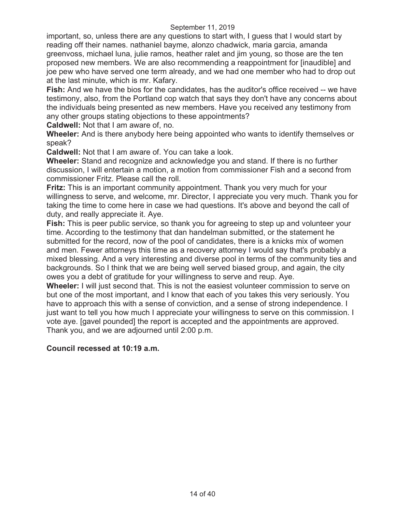important, so, unless there are any questions to start with, I guess that I would start by reading off their names. nathaniel bayme, alonzo chadwick, maria garcia, amanda greenvoss, michael luna, julie ramos, heather ralet and jim young, so those are the ten proposed new members. We are also recommending a reappointment for [inaudible] and joe pew who have served one term already, and we had one member who had to drop out at the last minute, which is mr. Kafary.

**Fish:** And we have the bios for the candidates, has the auditor's office received -- we have testimony, also, from the Portland cop watch that says they don't have any concerns about the individuals being presented as new members. Have you received any testimony from any other groups stating objections to these appointments?

**Caldwell:** Not that I am aware of, no.

**Wheeler:** And is there anybody here being appointed who wants to identify themselves or speak?

**Caldwell:** Not that I am aware of. You can take a look.

**Wheeler:** Stand and recognize and acknowledge you and stand. If there is no further discussion, I will entertain a motion, a motion from commissioner Fish and a second from commissioner Fritz. Please call the roll.

**Fritz:** This is an important community appointment. Thank you very much for your willingness to serve, and welcome, mr. Director, I appreciate you very much. Thank you for taking the time to come here in case we had questions. It's above and beyond the call of duty, and really appreciate it. Aye.

**Fish:** This is peer public service, so thank you for agreeing to step up and volunteer your time. According to the testimony that dan handelman submitted, or the statement he submitted for the record, now of the pool of candidates, there is a knicks mix of women and men. Fewer attorneys this time as a recovery attorney I would say that's probably a mixed blessing. And a very interesting and diverse pool in terms of the community ties and backgrounds. So I think that we are being well served biased group, and again, the city owes you a debt of gratitude for your willingness to serve and reup. Aye.

**Wheeler:** I will just second that. This is not the easiest volunteer commission to serve on but one of the most important, and I know that each of you takes this very seriously. You have to approach this with a sense of conviction, and a sense of strong independence. I just want to tell you how much I appreciate your willingness to serve on this commission. I vote aye. [gavel pounded] the report is accepted and the appointments are approved. Thank you, and we are adjourned until 2:00 p.m.

### **Council recessed at 10:19 a.m.**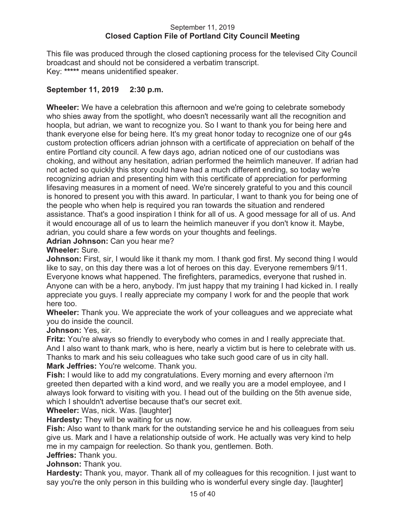#### September 11, 2019 **Closed Caption File of Portland City Council Meeting**

This file was produced through the closed captioning process for the televised City Council broadcast and should not be considered a verbatim transcript. Key: **\*\*\*\*\*** means unidentified speaker.

## **September 11, 2019 2:30 p.m.**

**Wheeler:** We have a celebration this afternoon and we're going to celebrate somebody who shies away from the spotlight, who doesn't necessarily want all the recognition and hoopla, but adrian, we want to recognize you. So I want to thank you for being here and thank everyone else for being here. It's my great honor today to recognize one of our g4s custom protection officers adrian johnson with a certificate of appreciation on behalf of the entire Portland city council. A few days ago, adrian noticed one of our custodians was choking, and without any hesitation, adrian performed the heimlich maneuver. If adrian had not acted so quickly this story could have had a much different ending, so today we're recognizing adrian and presenting him with this certificate of appreciation for performing lifesaving measures in a moment of need. We're sincerely grateful to you and this council is honored to present you with this award. In particular, I want to thank you for being one of the people who when help is required you ran towards the situation and rendered assistance. That's a good inspiration I think for all of us. A good message for all of us. And it would encourage all of us to learn the heimlich maneuver if you don't know it. Maybe, adrian, you could share a few words on your thoughts and feelings.

### **Adrian Johnson:** Can you hear me?

#### **Wheeler:** Sure.

**Johnson:** First, sir, I would like it thank my mom. I thank god first. My second thing I would like to say, on this day there was a lot of heroes on this day. Everyone remembers 9/11. Everyone knows what happened. The firefighters, paramedics, everyone that rushed in. Anyone can with be a hero, anybody. I'm just happy that my training I had kicked in. I really appreciate you guys. I really appreciate my company I work for and the people that work here too.

**Wheeler:** Thank you. We appreciate the work of your colleagues and we appreciate what you do inside the council.

### **Johnson:** Yes, sir.

**Fritz:** You're always so friendly to everybody who comes in and I really appreciate that. And I also want to thank mark, who is here, nearly a victim but is here to celebrate with us. Thanks to mark and his seiu colleagues who take such good care of us in city hall.

**Mark Jeffries:** You're welcome. Thank you.

**Fish:** I would like to add my congratulations. Every morning and every afternoon i'm greeted then departed with a kind word, and we really you are a model employee, and I always look forward to visiting with you. I head out of the building on the 5th avenue side, which I shouldn't advertise because that's our secret exit.

**Wheeler:** Was, nick. Was. [laughter]

**Hardesty:** They will be waiting for us now.

**Fish:** Also want to thank mark for the outstanding service he and his colleagues from seiu give us. Mark and I have a relationship outside of work. He actually was very kind to help me in my campaign for reelection. So thank you, gentlemen. Both.

**Jeffries:** Thank you.

**Johnson:** Thank you.

**Hardesty:** Thank you, mayor. Thank all of my colleagues for this recognition. I just want to say you're the only person in this building who is wonderful every single day. [laughter]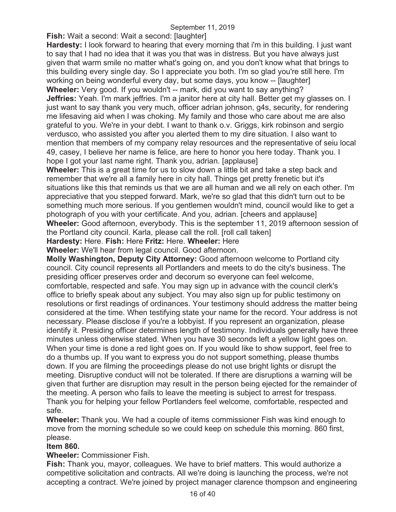**Fish:** Wait a second: Wait a second: [laughter]

**Hardesty:** I look forward to hearing that every morning that i'm in this building. I just want to say that I had no idea that it was you that was in distress. But you have always just given that warm smile no matter what's going on, and you don't know what that brings to this building every single day. So I appreciate you both. I'm so glad you're still here. I'm working on being wonderful every day, but some days, you know -- [laughter] **Wheeler:** Very good. If you wouldn't -- mark, did you want to say anything? **Jeffries:** Yeah. I'm mark jeffries. I'm a janitor here at city hall. Better get my glasses on. I

just want to say thank you very much, officer adrian johnson, g4s, security, for rendering me lifesaving aid when I was choking. My family and those who care about me are also grateful to you. We're in your debt. I want to thank o.v. Griggs, kirk robinson and sergio verdusco, who assisted you after you alerted them to my dire situation. I also want to mention that members of my company relay resources and the representative of seiu local 49, casey, I believe her name is felice, are here to honor you here today. Thank you. I hope I got your last name right. Thank you, adrian. [applause]

**Wheeler:** This is a great time for us to slow down a little bit and take a step back and remember that we're all a family here in city hall. Things get pretty frenetic but it's situations like this that reminds us that we are all human and we all rely on each other. I'm appreciative that you stepped forward. Mark, we're so glad that this didn't turn out to be something much more serious. If you gentlemen wouldn't mind, council would like to get a photograph of you with your certificate. And you, adrian. [cheers and applause] **Wheeler:** Good afternoon, everybody. This is the september 11, 2019 afternoon session of the Portland city council. Karla, please call the roll. [roll call taken]

**Hardesty:** Here. **Fish:** Here **Fritz:** Here. **Wheeler:** Here

**Wheeler:** We'll hear from legal council. Good afternoon.

**Molly Washington, Deputy City Attorney:** Good afternoon welcome to Portland city council. City council represents all Portlanders and meets to do the city's business. The presiding officer preserves order and decorum so everyone can feel welcome, comfortable, respected and safe. You may sign up in advance with the council clerk's office to briefly speak about any subject. You may also sign up for public testimony on resolutions or first readings of ordinances. Your testimony should address the matter being considered at the time. When testifying state your name for the record. Your address is not necessary. Please disclose if you're a lobbyist. If you represent an organization, please identify it. Presiding officer determines length of testimony. Individuals generally have three minutes unless otherwise stated. When you have 30 seconds left a yellow light goes on. When your time is done a red light goes on. If you would like to show support, feel free to do a thumbs up. If you want to express you do not support something, please thumbs down. If you are filming the proceedings please do not use bright lights or disrupt the meeting. Disruptive conduct will not be tolerated. If there are disruptions a warning will be given that further are disruption may result in the person being ejected for the remainder of the meeting. A person who fails to leave the meeting is subject to arrest for trespass. Thank you for helping your fellow Portlanders feel welcome, comfortable, respected and safe.

**Wheeler:** Thank you. We had a couple of items commissioner Fish was kind enough to move from the morning schedule so we could keep on schedule this morning. 860 first, please.

### **Item 860.**

**Wheeler:** Commissioner Fish.

**Fish:** Thank you, mayor, colleagues. We have to brief matters. This would authorize a competitive solicitation and contracts. All we're doing is launching the process, we're not accepting a contract. We're joined by project manager clarence thompson and engineering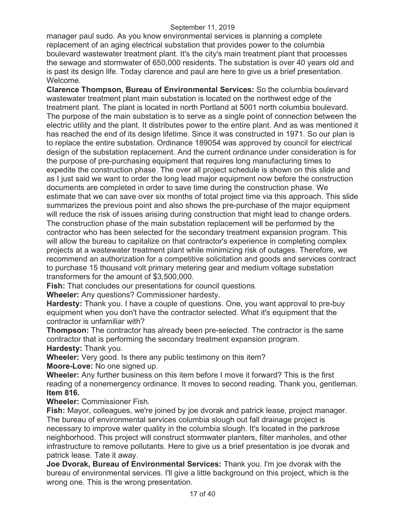manager paul sudo. As you know environmental services is planning a complete replacement of an aging electrical substation that provides power to the columbia boulevard wastewater treatment plant. It's the city's main treatment plant that processes the sewage and stormwater of 650,000 residents. The substation is over 40 years old and is past its design life. Today clarence and paul are here to give us a brief presentation. Welcome.

**Clarence Thompson, Bureau of Environmental Services:** So the columbia boulevard wastewater treatment plant main substation is located on the northwest edge of the treatment plant. The plant is located in north Portland at 5001 north columbia boulevard. The purpose of the main substation is to serve as a single point of connection between the electric utility and the plant. It distributes power to the entire plant. And as was mentioned it has reached the end of its design lifetime. Since it was constructed in 1971. So our plan is to replace the entire substation. Ordinance 189054 was approved by council for electrical design of the substation replacement. And the current ordinance under consideration is for the purpose of pre-purchasing equipment that requires long manufacturing times to expedite the construction phase. The over all project schedule is shown on this slide and as I just said we want to order the long lead major equipment now before the construction documents are completed in order to save time during the construction phase. We estimate that we can save over six months of total project time via this approach. This slide summarizes the previous point and also shows the pre-purchase of the major equipment will reduce the risk of issues arising during construction that might lead to change orders. The construction phase of the main substation replacement will be performed by the contractor who has been selected for the secondary treatment expansion program. This will allow the bureau to capitalize on that contractor's experience in completing complex projects at a wastewater treatment plant while minimizing risk of outages. Therefore, we recommend an authorization for a competitive solicitation and goods and services contract to purchase 15 thousand volt primary metering gear and medium voltage substation transformers for the amount of \$3,500,000.

**Fish:** That concludes our presentations for council questions.

**Wheeler:** Any questions? Commissioner hardesty.

**Hardesty:** Thank you. I have a couple of questions. One, you want approval to pre-buy equipment when you don't have the contractor selected. What it's equipment that the contractor is unfamiliar with?

**Thompson:** The contractor has already been pre-selected. The contractor is the same contractor that is performing the secondary treatment expansion program. **Hardesty:** Thank you.

**Wheeler:** Very good. Is there any public testimony on this item?

**Moore-Love:** No one signed up.

**Wheeler:** Any further business on this item before I move it forward? This is the first reading of a nonemergency ordinance. It moves to second reading. Thank you, gentleman. **Item 816.**

**Wheeler:** Commissioner Fish.

**Fish:** Mayor, colleagues, we're joined by joe dvorak and patrick lease, project manager. The bureau of environmental services columbia slough out fall drainage project is necessary to improve water quality in the columbia slough. It's located in the parkrose neighborhood. This project will construct stormwater planters, filter manholes, and other infrastructure to remove pollutants. Here to give us a brief presentation is joe dvorak and patrick lease. Tate it away.

**Joe Dvorak, Bureau of Environmental Services:** Thank you. I'm joe dvorak with the bureau of environmental services. I'll give a little background on this project, which is the wrong one. This is the wrong presentation.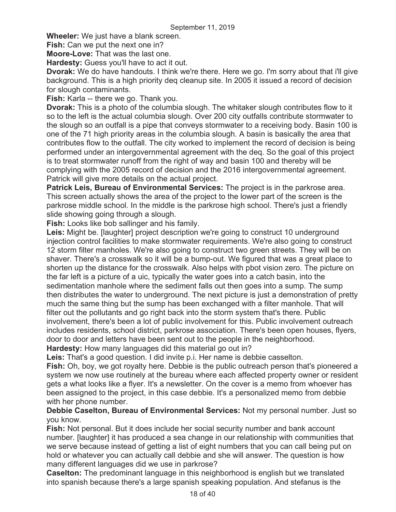**Wheeler:** We just have a blank screen.

**Fish:** Can we put the next one in?

**Moore-Love:** That was the last one.

**Hardesty:** Guess you'll have to act it out.

**Dvorak:** We do have handouts. I think we're there. Here we go. I'm sorry about that i'll give background. This is a high priority deq cleanup site. In 2005 it issued a record of decision for slough contaminants.

**Fish:** Karla -- there we go. Thank you.

**Dvorak:** This is a photo of the columbia slough. The whitaker slough contributes flow to it so to the left is the actual columbia slough. Over 200 city outfalls contribute stormwater to the slough so an outfall is a pipe that conveys stormwater to a receiving body. Basin 100 is one of the 71 high priority areas in the columbia slough. A basin is basically the area that contributes flow to the outfall. The city worked to implement the record of decision is being performed under an intergovernmental agreement with the deq. So the goal of this project is to treat stormwater runoff from the right of way and basin 100 and thereby will be complying with the 2005 record of decision and the 2016 intergovernmental agreement. Patrick will give more details on the actual project.

**Patrick Leis, Bureau of Environmental Services:** The project is in the parkrose area. This screen actually shows the area of the project to the lower part of the screen is the parkrose middle school. In the middle is the parkrose high school. There's just a friendly slide showing going through a slough.

**Fish:** Looks like bob sallinger and his family.

**Leis:** Might be. [laughter] project description we're going to construct 10 underground injection control facilities to make stormwater requirements. We're also going to construct 12 storm filter manholes. We're also going to construct two green streets. They will be on shaver. There's a crosswalk so it will be a bump-out. We figured that was a great place to shorten up the distance for the crosswalk. Also helps with pbot vision zero. The picture on the far left is a picture of a uic, typically the water goes into a catch basin, into the sedimentation manhole where the sediment falls out then goes into a sump. The sump then distributes the water to underground. The next picture is just a demonstration of pretty much the same thing but the sump has been exchanged with a filter manhole. That will filter out the pollutants and go right back into the storm system that's there. Public involvement, there's been a lot of public involvement for this. Public involvement outreach includes residents, school district, parkrose association. There's been open houses, flyers, door to door and letters have been sent out to the people in the neighborhood.

**Hardesty:** How many languages did this material go out in?

**Leis:** That's a good question. I did invite p.i. Her name is debbie casselton.

**Fish:** Oh, boy, we got royalty here. Debbie is the public outreach person that's pioneered a system we now use routinely at the bureau where each affected property owner or resident gets a what looks like a flyer. It's a newsletter. On the cover is a memo from whoever has been assigned to the project, in this case debbie. It's a personalized memo from debbie with her phone number.

**Debbie Caselton, Bureau of Environmental Services:** Not my personal number. Just so you know.

**Fish:** Not personal. But it does include her social security number and bank account number. [laughter] it has produced a sea change in our relationship with communities that we serve because instead of getting a list of eight numbers that you can call being put on hold or whatever you can actually call debbie and she will answer. The question is how many different languages did we use in parkrose?

**Caselton:** The predominant language in this neighborhood is english but we translated into spanish because there's a large spanish speaking population. And stefanus is the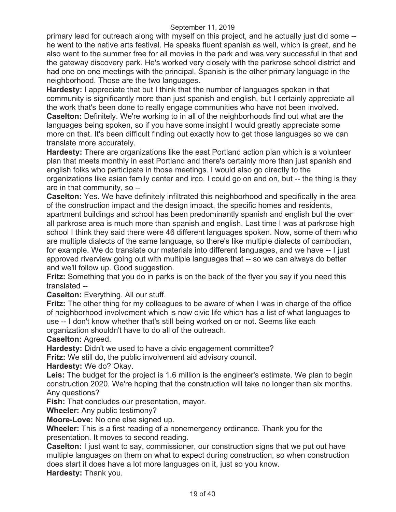primary lead for outreach along with myself on this project, and he actually just did some - he went to the native arts festival. He speaks fluent spanish as well, which is great, and he also went to the summer free for all movies in the park and was very successful in that and the gateway discovery park. He's worked very closely with the parkrose school district and had one on one meetings with the principal. Spanish is the other primary language in the neighborhood. Those are the two languages.

**Hardesty:** I appreciate that but I think that the number of languages spoken in that community is significantly more than just spanish and english, but I certainly appreciate all the work that's been done to really engage communities who have not been involved. **Caselton:** Definitely. We're working to in all of the neighborhoods find out what are the languages being spoken, so if you have some insight I would greatly appreciate some more on that. It's been difficult finding out exactly how to get those languages so we can translate more accurately.

**Hardesty:** There are organizations like the east Portland action plan which is a volunteer plan that meets monthly in east Portland and there's certainly more than just spanish and english folks who participate in those meetings. I would also go directly to the organizations like asian family center and irco. I could go on and on, but -- the thing is they are in that community, so --

**Caselton:** Yes. We have definitely infiltrated this neighborhood and specifically in the area of the construction impact and the design impact, the specific homes and residents, apartment buildings and school has been predominantly spanish and english but the over all parkrose area is much more than spanish and english. Last time I was at parkrose high school I think they said there were 46 different languages spoken. Now, some of them who are multiple dialects of the same language, so there's like multiple dialects of cambodian, for example. We do translate our materials into different languages, and we have -- I just approved riverview going out with multiple languages that -- so we can always do better and we'll follow up. Good suggestion.

**Fritz:** Something that you do in parks is on the back of the flyer you say if you need this translated --

**Caselton:** Everything. All our stuff.

**Fritz:** The other thing for my colleagues to be aware of when I was in charge of the office of neighborhood involvement which is now civic life which has a list of what languages to use -- I don't know whether that's still being worked on or not. Seems like each organization shouldn't have to do all of the outreach.

**Caselton:** Agreed.

**Hardesty:** Didn't we used to have a civic engagement committee?

**Fritz:** We still do, the public involvement aid advisory council.

**Hardesty:** We do? Okay.

Leis: The budget for the project is 1.6 million is the engineer's estimate. We plan to begin construction 2020. We're hoping that the construction will take no longer than six months. Any questions?

**Fish:** That concludes our presentation, mayor.

**Wheeler:** Any public testimony?

**Moore-Love:** No one else signed up.

**Wheeler:** This is a first reading of a nonemergency ordinance. Thank you for the presentation. It moves to second reading.

**Caselton:** I just want to say, commissioner, our construction signs that we put out have multiple languages on them on what to expect during construction, so when construction does start it does have a lot more languages on it, just so you know.

**Hardesty:** Thank you.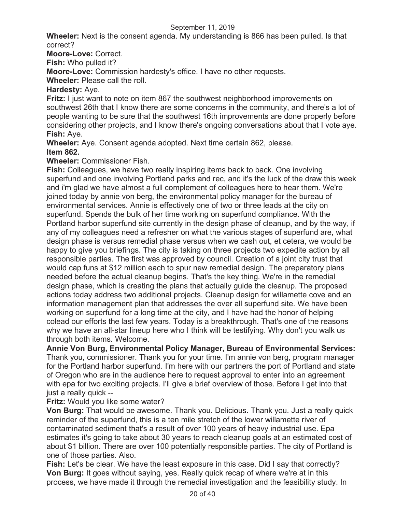**Wheeler:** Next is the consent agenda. My understanding is 866 has been pulled. Is that correct?

**Moore-Love:** Correct.

**Fish:** Who pulled it?

**Moore-Love:** Commission hardesty's office. I have no other requests.

**Wheeler:** Please call the roll.

### **Hardesty:** Aye.

**Fritz:** I just want to note on item 867 the southwest neighborhood improvements on southwest 26th that I know there are some concerns in the community, and there's a lot of people wanting to be sure that the southwest 16th improvements are done properly before considering other projects, and I know there's ongoing conversations about that I vote aye. **Fish:** Aye.

**Wheeler:** Aye. Consent agenda adopted. Next time certain 862, please. **Item 862.** 

**Wheeler:** Commissioner Fish.

**Fish:** Colleagues, we have two really inspiring items back to back. One involving superfund and one involving Portland parks and rec, and it's the luck of the draw this week and i'm glad we have almost a full complement of colleagues here to hear them. We're joined today by annie von berg, the environmental policy manager for the bureau of environmental services. Annie is effectively one of two or three leads at the city on superfund. Spends the bulk of her time working on superfund compliance. With the Portland harbor superfund site currently in the design phase of cleanup, and by the way, if any of my colleagues need a refresher on what the various stages of superfund are, what design phase is versus remedial phase versus when we cash out, et cetera, we would be happy to give you briefings. The city is taking on three projects two expedite action by all responsible parties. The first was approved by council. Creation of a joint city trust that would cap funs at \$12 million each to spur new remedial design. The preparatory plans needed before the actual cleanup begins. That's the key thing. We're in the remedial design phase, which is creating the plans that actually guide the cleanup. The proposed actions today address two additional projects. Cleanup design for willamette cove and an information management plan that addresses the over all superfund site. We have been working on superfund for a long time at the city, and I have had the honor of helping colead our efforts the last few years. Today is a breakthrough. That's one of the reasons why we have an all-star lineup here who I think will be testifying. Why don't you walk us through both items. Welcome.

**Annie Von Burg, Environmental Policy Manager, Bureau of Environmental Services:**  Thank you, commissioner. Thank you for your time. I'm annie von berg, program manager for the Portland harbor superfund. I'm here with our partners the port of Portland and state of Oregon who are in the audience here to request approval to enter into an agreement with epa for two exciting projects. I'll give a brief overview of those. Before I get into that just a really quick --

### **Fritz:** Would you like some water?

**Von Burg:** That would be awesome. Thank you. Delicious. Thank you. Just a really quick reminder of the superfund, this is a ten mile stretch of the lower willamette river of contaminated sediment that's a result of over 100 years of heavy industrial use. Epa estimates it's going to take about 30 years to reach cleanup goals at an estimated cost of about \$1 billion. There are over 100 potentially responsible parties. The city of Portland is one of those parties. Also.

**Fish:** Let's be clear. We have the least exposure in this case. Did I say that correctly? **Von Burg:** It goes without saying, yes. Really quick recap of where we're at in this process, we have made it through the remedial investigation and the feasibility study. In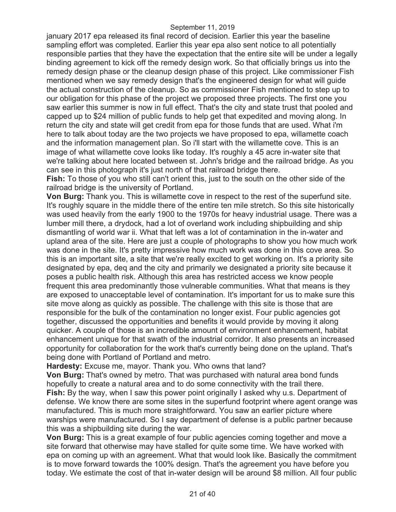january 2017 epa released its final record of decision. Earlier this year the baseline sampling effort was completed. Earlier this year epa also sent notice to all potentially responsible parties that they have the expectation that the entire site will be under a legally binding agreement to kick off the remedy design work. So that officially brings us into the remedy design phase or the cleanup design phase of this project. Like commissioner Fish mentioned when we say remedy design that's the engineered design for what will guide the actual construction of the cleanup. So as commissioner Fish mentioned to step up to our obligation for this phase of the project we proposed three projects. The first one you saw earlier this summer is now in full effect. That's the city and state trust that pooled and capped up to \$24 million of public funds to help get that expedited and moving along. In return the city and state will get credit from epa for those funds that are used. What i'm here to talk about today are the two projects we have proposed to epa, willamette coach and the information management plan. So i'll start with the willamette cove. This is an image of what willamette cove looks like today. It's roughly a 45 acre in-water site that we're talking about here located between st. John's bridge and the railroad bridge. As you can see in this photograph it's just north of that railroad bridge there.

**Fish:** To those of you who still can't orient this, just to the south on the other side of the railroad bridge is the university of Portland.

**Von Burg:** Thank you. This is willamette cove in respect to the rest of the superfund site. It's roughly square in the middle there of the entire ten mile stretch. So this site historically was used heavily from the early 1900 to the 1970s for heavy industrial usage. There was a lumber mill there, a drydock, had a lot of overland work including shipbuilding and ship dismantling of world war ii. What that left was a lot of contamination in the in-water and upland area of the site. Here are just a couple of photographs to show you how much work was done in the site. It's pretty impressive how much work was done in this cove area. So this is an important site, a site that we're really excited to get working on. It's a priority site designated by epa, deq and the city and primarily we designated a priority site because it poses a public health risk. Although this area has restricted access we know people frequent this area predominantly those vulnerable communities. What that means is they are exposed to unacceptable level of contamination. It's important for us to make sure this site move along as quickly as possible. The challenge with this site is those that are responsible for the bulk of the contamination no longer exist. Four public agencies got together, discussed the opportunities and benefits it would provide by moving it along quicker. A couple of those is an incredible amount of environment enhancement, habitat enhancement unique for that swath of the industrial corridor. It also presents an increased opportunity for collaboration for the work that's currently being done on the upland. That's being done with Portland of Portland and metro.

**Hardesty:** Excuse me, mayor. Thank you. Who owns that land?

**Von Burg:** That's owned by metro. That was purchased with natural area bond funds hopefully to create a natural area and to do some connectivity with the trail there.

**Fish:** By the way, when I saw this power point originally I asked why u.s. Department of defense. We know there are some sites in the superfund footprint where agent orange was manufactured. This is much more straightforward. You saw an earlier picture where warships were manufactured. So I say department of defense is a public partner because this was a shipbuilding site during the war.

**Von Burg:** This is a great example of four public agencies coming together and move a site forward that otherwise may have stalled for quite some time. We have worked with epa on coming up with an agreement. What that would look like. Basically the commitment is to move forward towards the 100% design. That's the agreement you have before you today. We estimate the cost of that in-water design will be around \$8 million. All four public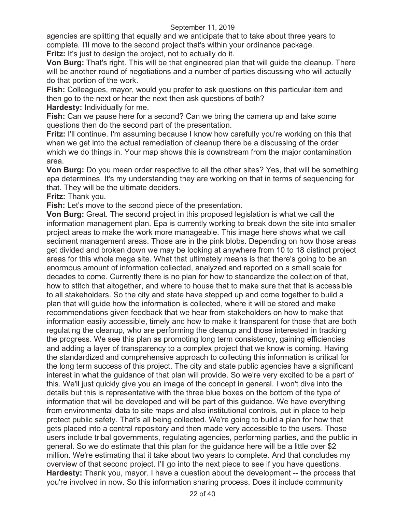agencies are splitting that equally and we anticipate that to take about three years to complete. I'll move to the second project that's within your ordinance package.

**Fritz:** It's just to design the project, not to actually do it.

**Von Burg:** That's right. This will be that engineered plan that will guide the cleanup. There will be another round of negotiations and a number of parties discussing who will actually do that portion of the work.

**Fish:** Colleagues, mayor, would you prefer to ask questions on this particular item and then go to the next or hear the next then ask questions of both?

**Hardesty:** Individually for me.

**Fish:** Can we pause here for a second? Can we bring the camera up and take some questions then do the second part of the presentation.

**Fritz:** I'll continue. I'm assuming because I know how carefully you're working on this that when we get into the actual remediation of cleanup there be a discussing of the order which we do things in. Your map shows this is downstream from the major contamination area.

**Von Burg:** Do you mean order respective to all the other sites? Yes, that will be something epa determines. It's my understanding they are working on that in terms of sequencing for that. They will be the ultimate deciders.

**Fritz:** Thank you.

**Fish:** Let's move to the second piece of the presentation.

**Von Burg:** Great. The second project in this proposed legislation is what we call the information management plan. Epa is currently working to break down the site into smaller project areas to make the work more manageable. This image here shows what we call sediment management areas. Those are in the pink blobs. Depending on how those areas get divided and broken down we may be looking at anywhere from 10 to 18 distinct project areas for this whole mega site. What that ultimately means is that there's going to be an enormous amount of information collected, analyzed and reported on a small scale for decades to come. Currently there is no plan for how to standardize the collection of that, how to stitch that altogether, and where to house that to make sure that that is accessible to all stakeholders. So the city and state have stepped up and come together to build a plan that will guide how the information is collected, where it will be stored and make recommendations given feedback that we hear from stakeholders on how to make that information easily accessible, timely and how to make it transparent for those that are both regulating the cleanup, who are performing the cleanup and those interested in tracking the progress. We see this plan as promoting long term consistency, gaining efficiencies and adding a layer of transparency to a complex project that we know is coming. Having the standardized and comprehensive approach to collecting this information is critical for the long term success of this project. The city and state public agencies have a significant interest in what the guidance of that plan will provide. So we're very excited to be a part of this. We'll just quickly give you an image of the concept in general. I won't dive into the details but this is representative with the three blue boxes on the bottom of the type of information that will be developed and will be part of this guidance. We have everything from environmental data to site maps and also institutional controls, put in place to help protect public safety. That's all being collected. We're going to build a plan for how that gets placed into a central repository and then made very accessible to the users. Those users include tribal governments, regulating agencies, performing parties, and the public in general. So we do estimate that this plan for the guidance here will be a little over \$2 million. We're estimating that it take about two years to complete. And that concludes my overview of that second project. I'll go into the next piece to see if you have questions. **Hardesty:** Thank you, mayor. I have a question about the development -- the process that you're involved in now. So this information sharing process. Does it include community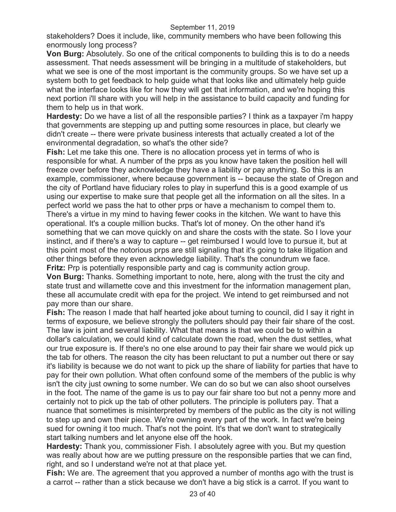stakeholders? Does it include, like, community members who have been following this enormously long process?

**Von Burg:** Absolutely. So one of the critical components to building this is to do a needs assessment. That needs assessment will be bringing in a multitude of stakeholders, but what we see is one of the most important is the community groups. So we have set up a system both to get feedback to help guide what that looks like and ultimately help guide what the interface looks like for how they will get that information, and we're hoping this next portion i'll share with you will help in the assistance to build capacity and funding for them to help us in that work.

**Hardesty:** Do we have a list of all the responsible parties? I think as a taxpayer i'm happy that governments are stepping up and putting some resources in place, but clearly we didn't create -- there were private business interests that actually created a lot of the environmental degradation, so what's the other side?

**Fish:** Let me take this one. There is no allocation process yet in terms of who is responsible for what. A number of the prps as you know have taken the position hell will freeze over before they acknowledge they have a liability or pay anything. So this is an example, commissioner, where because government is -- because the state of Oregon and the city of Portland have fiduciary roles to play in superfund this is a good example of us using our expertise to make sure that people get all the information on all the sites. In a perfect world we pass the hat to other prps or have a mechanism to compel them to. There's a virtue in my mind to having fewer cooks in the kitchen. We want to have this operational. It's a couple million bucks. That's lot of money. On the other hand it's something that we can move quickly on and share the costs with the state. So I love your instinct, and if there's a way to capture -- get reimbursed I would love to pursue it, but at this point most of the notorious prps are still signaling that it's going to take litigation and other things before they even acknowledge liability. That's the conundrum we face. **Fritz:** Prp is potentially responsible party and cag is community action group.

**Von Burg:** Thanks. Something important to note, here, along with the trust the city and state trust and willamette cove and this investment for the information management plan, these all accumulate credit with epa for the project. We intend to get reimbursed and not pay more than our share.

**Fish:** The reason I made that half hearted joke about turning to council, did I say it right in terms of exposure, we believe strongly the polluters should pay their fair share of the cost. The law is joint and several liability. What that means is that we could be to within a dollar's calculation, we could kind of calculate down the road, when the dust settles, what our true exposure is. If there's no one else around to pay their fair share we would pick up the tab for others. The reason the city has been reluctant to put a number out there or say it's liability is because we do not want to pick up the share of liability for parties that have to pay for their own pollution. What often confound some of the members of the public is why isn't the city just owning to some number. We can do so but we can also shoot ourselves in the foot. The name of the game is us to pay our fair share too but not a penny more and certainly not to pick up the tab of other polluters. The principle is polluters pay. That a nuance that sometimes is misinterpreted by members of the public as the city is not willing to step up and own their piece. We're owning every part of the work. In fact we're being sued for owning it too much. That's not the point. It's that we don't want to strategically start talking numbers and let anyone else off the hook.

**Hardesty:** Thank you, commissioner Fish. I absolutely agree with you. But my question was really about how are we putting pressure on the responsible parties that we can find, right, and so I understand we're not at that place yet.

**Fish:** We are. The agreement that you approved a number of months ago with the trust is a carrot -- rather than a stick because we don't have a big stick is a carrot. If you want to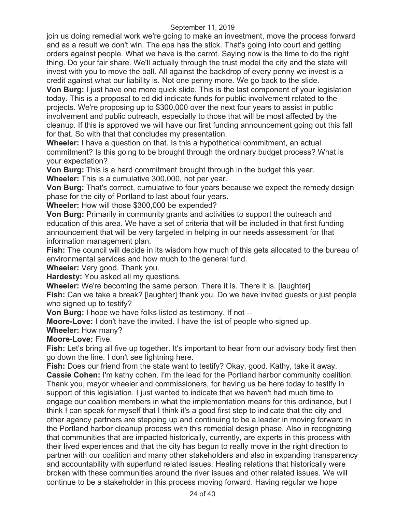join us doing remedial work we're going to make an investment, move the process forward and as a result we don't win. The epa has the stick. That's going into court and getting orders against people. What we have is the carrot. Saying now is the time to do the right thing. Do your fair share. We'll actually through the trust model the city and the state will invest with you to move the ball. All against the backdrop of every penny we invest is a credit against what our liability is. Not one penny more. We go back to the slide.

**Von Burg:** I just have one more quick slide. This is the last component of your legislation today. This is a proposal to ed did indicate funds for public involvement related to the projects. We're proposing up to \$300,000 over the next four years to assist in public involvement and public outreach, especially to those that will be most affected by the cleanup. If this is approved we will have our first funding announcement going out this fall for that. So with that that concludes my presentation.

**Wheeler:** I have a question on that. Is this a hypothetical commitment, an actual commitment? Is this going to be brought through the ordinary budget process? What is your expectation?

**Von Burg:** This is a hard commitment brought through in the budget this year. **Wheeler:** This is a cumulative 300,000, not per year.

**Von Burg:** That's correct, cumulative to four years because we expect the remedy design phase for the city of Portland to last about four years.

**Wheeler:** How will those \$300,000 be expended?

**Von Burg:** Primarily in community grants and activities to support the outreach and education of this area. We have a set of criteria that will be included in that first funding announcement that will be very targeted in helping in our needs assessment for that information management plan.

**Fish:** The council will decide in its wisdom how much of this gets allocated to the bureau of environmental services and how much to the general fund.

**Wheeler:** Very good. Thank you.

**Hardesty:** You asked all my questions.

**Wheeler:** We're becoming the same person. There it is. There it is. [laughter] **Fish:** Can we take a break? [laughter] thank you. Do we have invited guests or just people who signed up to testify?

**Von Burg:** I hope we have folks listed as testimony. If not --

**Moore-Love:** I don't have the invited. I have the list of people who signed up.

**Wheeler:** How many?

**Moore-Love:** Five.

**Fish:** Let's bring all five up together. It's important to hear from our advisory body first then go down the line. I don't see lightning here.

**Fish:** Does our friend from the state want to testify? Okay, good. Kathy, take it away. **Cassie Cohen:** I'm kathy cohen. I'm the lead for the Portland harbor community coalition. Thank you, mayor wheeler and commissioners, for having us be here today to testify in support of this legislation. I just wanted to indicate that we haven't had much time to engage our coalition members in what the implementation means for this ordinance, but I think I can speak for myself that I think it's a good first step to indicate that the city and other agency partners are stepping up and continuing to be a leader in moving forward in the Portland harbor cleanup process with this remedial design phase. Also in recognizing that communities that are impacted historically, currently, are experts in this process with their lived experiences and that the city has begun to really move in the right direction to partner with our coalition and many other stakeholders and also in expanding transparency and accountability with superfund related issues. Healing relations that historically were broken with these communities around the river issues and other related issues. We will continue to be a stakeholder in this process moving forward. Having regular we hope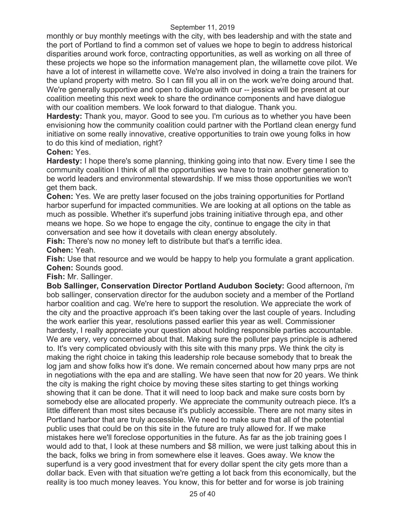monthly or buy monthly meetings with the city, with bes leadership and with the state and the port of Portland to find a common set of values we hope to begin to address historical disparities around work force, contracting opportunities, as well as working on all three of these projects we hope so the information management plan, the willamette cove pilot. We have a lot of interest in willamette cove. We're also involved in doing a train the trainers for the upland property with metro. So I can fill you all in on the work we're doing around that. We're generally supportive and open to dialogue with our -- jessica will be present at our coalition meeting this next week to share the ordinance components and have dialogue with our coalition members. We look forward to that dialogue. Thank you.

**Hardesty:** Thank you, mayor. Good to see you. I'm curious as to whether you have been envisioning how the community coalition could partner with the Portland clean energy fund initiative on some really innovative, creative opportunities to train owe young folks in how to do this kind of mediation, right?

#### **Cohen:** Yes.

**Hardesty:** I hope there's some planning, thinking going into that now. Every time I see the community coalition I think of all the opportunities we have to train another generation to be world leaders and environmental stewardship. If we miss those opportunities we won't get them back.

**Cohen:** Yes. We are pretty laser focused on the jobs training opportunities for Portland harbor superfund for impacted communities. We are looking at all options on the table as much as possible. Whether it's superfund jobs training initiative through epa, and other means we hope. So we hope to engage the city, continue to engage the city in that conversation and see how it dovetails with clean energy absolutely.

**Fish:** There's now no money left to distribute but that's a terrific idea.

**Cohen:** Yeah.

**Fish:** Use that resource and we would be happy to help you formulate a grant application. **Cohen:** Sounds good.

**Fish:** Mr. Sallinger.

**Bob Sallinger, Conservation Director Portland Audubon Society:** Good afternoon, i'm bob sallinger, conservation director for the audubon society and a member of the Portland harbor coalition and cag. We're here to support the resolution. We appreciate the work of the city and the proactive approach it's been taking over the last couple of years. Including the work earlier this year, resolutions passed earlier this year as well. Commissioner hardesty, I really appreciate your question about holding responsible parties accountable. We are very, very concerned about that. Making sure the polluter pays principle is adhered to. It's very complicated obviously with this site with this many prps. We think the city is making the right choice in taking this leadership role because somebody that to break the log jam and show folks how it's done. We remain concerned about how many prps are not in negotiations with the epa and are stalling. We have seen that now for 20 years. We think the city is making the right choice by moving these sites starting to get things working showing that it can be done. That it will need to loop back and make sure costs born by somebody else are allocated properly. We appreciate the community outreach piece. It's a little different than most sites because it's publicly accessible. There are not many sites in Portland harbor that are truly accessible. We need to make sure that all of the potential public uses that could be on this site in the future are truly allowed for. If we make mistakes here we'll foreclose opportunities in the future. As far as the job training goes I would add to that, I look at these numbers and \$8 million, we were just talking about this in the back, folks we bring in from somewhere else it leaves. Goes away. We know the superfund is a very good investment that for every dollar spent the city gets more than a dollar back. Even with that situation we're getting a lot back from this economically, but the reality is too much money leaves. You know, this for better and for worse is job training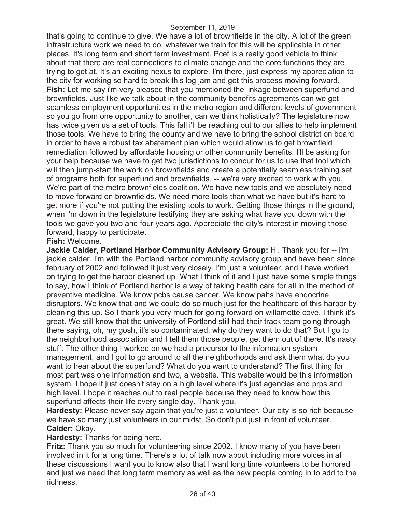that's going to continue to give. We have a lot of brownfields in the city. A lot of the green infrastructure work we need to do, whatever we train for this will be applicable in other places. It's long term and short term investment. Pcef is a really good vehicle to think about that there are real connections to climate change and the core functions they are trying to get at. It's an exciting nexus to explore. I'm there, just express my appreciation to the city for working so hard to break this log jam and get this process moving forward. **Fish:** Let me say i'm very pleased that you mentioned the linkage between superfund and brownfields. Just like we talk about in the community benefits agreements can we get seamless employment opportunities in the metro region and different levels of government so you go from one opportunity to another, can we think holistically? The legislature now has twice given us a set of tools. This fall i'll be reaching out to our allies to help implement those tools. We have to bring the county and we have to bring the school district on board in order to have a robust tax abatement plan which would allow us to get brownfield remediation followed by affordable housing or other community benefits. I'll be asking for your help because we have to get two jurisdictions to concur for us to use that tool which will then jump-start the work on brownfields and create a potentially seamless training set of programs both for superfund and brownfields. -- we're very excited to work with you. We're part of the metro brownfields coalition. We have new tools and we absolutely need to move forward on brownfields. We need more tools than what we have but it's hard to get more if you're not putting the existing tools to work. Getting those things in the ground, when i'm down in the legislature testifying they are asking what have you down with the tools we gave you two and four years ago. Appreciate the city's interest in moving those forward, happy to participate.

#### **Fish:** Welcome.

**Jackie Calder, Portland Harbor Community Advisory Group:** Hi. Thank you for -- i'm jackie calder. I'm with the Portland harbor community advisory group and have been since february of 2002 and followed it just very closely. I'm just a volunteer, and I have worked on trying to get the harbor cleaned up. What I think of it and I just have some simple things to say, how I think of Portland harbor is a way of taking health care for all in the method of preventive medicine. We know pcbs cause cancer. We know pahs have endocrine disruptors. We know that and we could do so much just for the healthcare of this harbor by cleaning this up. So I thank you very much for going forward on willamette cove. I think it's great. We still know that the university of Portland still had their track team going through there saying, oh, my gosh, it's so contaminated, why do they want to do that? But I go to the neighborhood association and I tell them those people, get them out of there. It's nasty stuff. The other thing I worked on we had a precursor to the information system management, and I got to go around to all the neighborhoods and ask them what do you want to hear about the superfund? What do you want to understand? The first thing for most part was one information and two, a website. This website would be this information system. I hope it just doesn't stay on a high level where it's just agencies and prps and high level. I hope it reaches out to real people because they need to know how this superfund affects their life every single day. Thank you.

**Hardesty:** Please never say again that you're just a volunteer. Our city is so rich because we have so many just volunteers in our midst. So don't put just in front of volunteer. **Calder:** Okay.

**Hardesty:** Thanks for being here.

**Fritz:** Thank you so much for volunteering since 2002. I know many of you have been involved in it for a long time. There's a lot of talk now about including more voices in all these discussions I want you to know also that I want long time volunteers to be honored and just we need that long term memory as well as the new people coming in to add to the richness.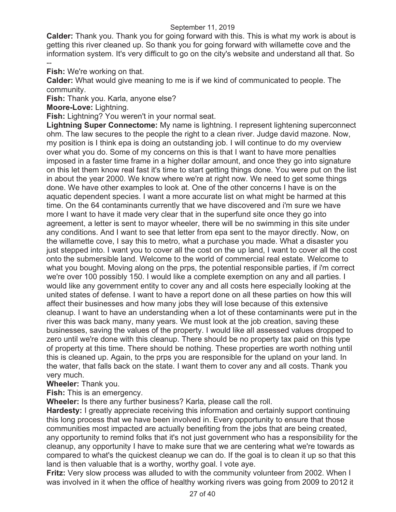**Calder:** Thank you. Thank you for going forward with this. This is what my work is about is getting this river cleaned up. So thank you for going forward with willamette cove and the information system. It's very difficult to go on the city's website and understand all that. So

-- **Fish:** We're working on that.

**Calder:** What would give meaning to me is if we kind of communicated to people. The community.

**Fish:** Thank you. Karla, anyone else?

**Moore-Love:** Lightning.

**Fish:** Lightning? You weren't in your normal seat.

**Lightning Super Connectome:** My name is lightning. I represent lightening superconnect ohm. The law secures to the people the right to a clean river. Judge david mazone. Now, my position is I think epa is doing an outstanding job. I will continue to do my overview over what you do. Some of my concerns on this is that I want to have more penalties imposed in a faster time frame in a higher dollar amount, and once they go into signature on this let them know real fast it's time to start getting things done. You were put on the list in about the year 2000. We know where we're at right now. We need to get some things done. We have other examples to look at. One of the other concerns I have is on the aquatic dependent species. I want a more accurate list on what might be harmed at this time. On the 64 contaminants currently that we have discovered and i'm sure we have more I want to have it made very clear that in the superfund site once they go into agreement, a letter is sent to mayor wheeler, there will be no swimming in this site under any conditions. And I want to see that letter from epa sent to the mayor directly. Now, on the willamette cove, I say this to metro, what a purchase you made. What a disaster you just stepped into. I want you to cover all the cost on the up land, I want to cover all the cost onto the submersible land. Welcome to the world of commercial real estate. Welcome to what you bought. Moving along on the prps, the potential responsible parties, if i'm correct we're over 100 possibly 150. I would like a complete exemption on any and all parties. I would like any government entity to cover any and all costs here especially looking at the united states of defense. I want to have a report done on all these parties on how this will affect their businesses and how many jobs they will lose because of this extensive cleanup. I want to have an understanding when a lot of these contaminants were put in the river this was back many, many years. We must look at the job creation, saving these businesses, saving the values of the property. I would like all assessed values dropped to zero until we're done with this cleanup. There should be no property tax paid on this type of property at this time. There should be nothing. These properties are worth nothing until this is cleaned up. Again, to the prps you are responsible for the upland on your land. In the water, that falls back on the state. I want them to cover any and all costs. Thank you very much.

### **Wheeler:** Thank you.

**Fish:** This is an emergency.

**Wheeler:** Is there any further business? Karla, please call the roll.

**Hardesty:** I greatly appreciate receiving this information and certainly support continuing this long process that we have been involved in. Every opportunity to ensure that those communities most impacted are actually benefiting from the jobs that are being created, any opportunity to remind folks that it's not just government who has a responsibility for the cleanup, any opportunity I have to make sure that we are centering what we're towards as compared to what's the quickest cleanup we can do. If the goal is to clean it up so that this land is then valuable that is a worthy, worthy goal. I vote aye.

**Fritz:** Very slow process was alluded to with the community volunteer from 2002. When I was involved in it when the office of healthy working rivers was going from 2009 to 2012 it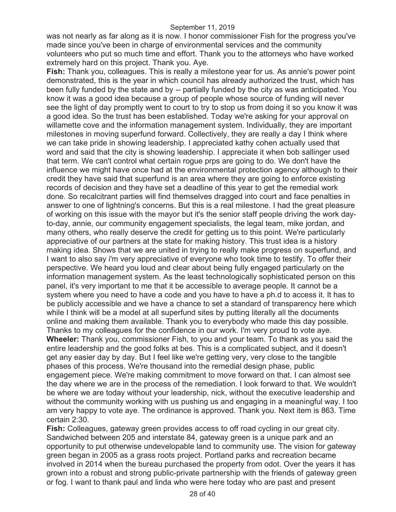was not nearly as far along as it is now. I honor commissioner Fish for the progress you've made since you've been in charge of environmental services and the community volunteers who put so much time and effort. Thank you to the attorneys who have worked extremely hard on this project. Thank you. Aye.

**Fish:** Thank you, colleagues. This is really a milestone year for us. As annie's power point demonstrated, this is the year in which council has already authorized the trust, which has been fully funded by the state and by -- partially funded by the city as was anticipated. You know it was a good idea because a group of people whose source of funding will never see the light of day promptly went to court to try to stop us from doing it so you know it was a good idea. So the trust has been established. Today we're asking for your approval on willamette cove and the information management system. Individually, they are important milestones in moving superfund forward. Collectively, they are really a day I think where we can take pride in showing leadership. I appreciated kathy cohen actually used that word and said that the city is showing leadership. I appreciate it when bob sallinger used that term. We can't control what certain rogue prps are going to do. We don't have the influence we might have once had at the environmental protection agency although to their credit they have said that superfund is an area where they are going to enforce existing records of decision and they have set a deadline of this year to get the remedial work done. So recalcitrant parties will find themselves dragged into court and face penalties in answer to one of lightning's concerns. But this is a real milestone. I had the great pleasure of working on this issue with the mayor but it's the senior staff people driving the work dayto-day, annie, our community engagement specialists, the legal team, mike jordan, and many others, who really deserve the credit for getting us to this point. We're particularly appreciative of our partners at the state for making history. This trust idea is a history making idea. Shows that we are united in trying to really make progress on superfund, and I want to also say i'm very appreciative of everyone who took time to testify. To offer their perspective. We heard you loud and clear about being fully engaged particularly on the information management system. As the least technologically sophisticated person on this panel, it's very important to me that it be accessible to average people. It cannot be a system where you need to have a code and you have to have a ph.d to access it. It has to be publicly accessible and we have a chance to set a standard of transparency here which while I think will be a model at all superfund sites by putting literally all the documents online and making them available. Thank you to everybody who made this day possible. Thanks to my colleagues for the confidence in our work. I'm very proud to vote aye. **Wheeler:** Thank you, commissioner Fish, to you and your team. To thank as you said the entire leadership and the good folks at bes. This is a complicated subject, and it doesn't get any easier day by day. But I feel like we're getting very, very close to the tangible phases of this process. We're thousand into the remedial design phase, public engagement piece. We're making commitment to move forward on that. I can almost see the day where we are in the process of the remediation. I look forward to that. We wouldn't be where we are today without your leadership, nick, without the executive leadership and without the community working with us pushing us and engaging in a meaningful way. I too am very happy to vote aye. The ordinance is approved. Thank you. Next item is 863. Time certain 2:30.

**Fish:** Colleagues, gateway green provides access to off road cycling in our great city. Sandwiched between 205 and interstate 84, gateway green is a unique park and an opportunity to put otherwise undevelopable land to community use. The vision for gateway green began in 2005 as a grass roots project. Portland parks and recreation became involved in 2014 when the bureau purchased the property from odot. Over the years it has grown into a robust and strong public-private partnership with the friends of gateway green or fog. I want to thank paul and linda who were here today who are past and present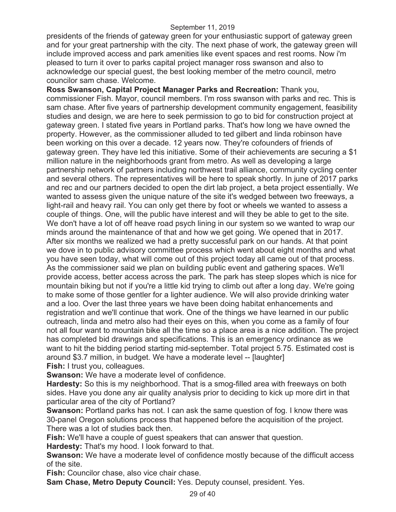presidents of the friends of gateway green for your enthusiastic support of gateway green and for your great partnership with the city. The next phase of work, the gateway green will include improved access and park amenities like event spaces and rest rooms. Now i'm pleased to turn it over to parks capital project manager ross swanson and also to acknowledge our special guest, the best looking member of the metro council, metro councilor sam chase. Welcome.

**Ross Swanson, Capital Project Manager Parks and Recreation:** Thank you, commissioner Fish. Mayor, council members. I'm ross swanson with parks and rec. This is sam chase. After five years of partnership development community engagement, feasibility studies and design, we are here to seek permission to go to bid for construction project at gateway green. I stated five years in Portland parks. That's how long we have owned the property. However, as the commissioner alluded to ted gilbert and linda robinson have been working on this over a decade. 12 years now. They're cofounders of friends of gateway green. They have led this initiative. Some of their achievements are securing a \$1 million nature in the neighborhoods grant from metro. As well as developing a large partnership network of partners including northwest trail alliance, community cycling center and several others. The representatives will be here to speak shortly. In june of 2017 parks and rec and our partners decided to open the dirt lab project, a beta project essentially. We wanted to assess given the unique nature of the site it's wedged between two freeways, a light-rail and heavy rail. You can only get there by foot or wheels we wanted to assess a couple of things. One, will the public have interest and will they be able to get to the site. We don't have a lot of off heave road psych lining in our system so we wanted to wrap our minds around the maintenance of that and how we get going. We opened that in 2017. After six months we realized we had a pretty successful park on our hands. At that point we dove in to public advisory committee process which went about eight months and what you have seen today, what will come out of this project today all came out of that process. As the commissioner said we plan on building public event and gathering spaces. We'll provide access, better access across the park. The park has steep slopes which is nice for mountain biking but not if you're a little kid trying to climb out after a long day. We're going to make some of those gentler for a lighter audience. We will also provide drinking water and a loo. Over the last three years we have been doing habitat enhancements and registration and we'll continue that work. One of the things we have learned in our public outreach, linda and metro also had their eyes on this, when you come as a family of four not all four want to mountain bike all the time so a place area is a nice addition. The project has completed bid drawings and specifications. This is an emergency ordinance as we want to hit the bidding period starting mid-september. Total project 5.75. Estimated cost is around \$3.7 million, in budget. We have a moderate level -- [laughter] **Fish:** I trust you, colleagues.

**Swanson:** We have a moderate level of confidence.

**Hardesty:** So this is my neighborhood. That is a smog-filled area with freeways on both sides. Have you done any air quality analysis prior to deciding to kick up more dirt in that particular area of the city of Portland?

**Swanson:** Portland parks has not. I can ask the same question of fog. I know there was 30-panel Oregon solutions process that happened before the acquisition of the project. There was a lot of studies back then.

**Fish:** We'll have a couple of guest speakers that can answer that question.

**Hardesty:** That's my hood. I look forward to that.

**Swanson:** We have a moderate level of confidence mostly because of the difficult access of the site.

**Fish:** Councilor chase, also vice chair chase.

**Sam Chase, Metro Deputy Council:** Yes. Deputy counsel, president. Yes.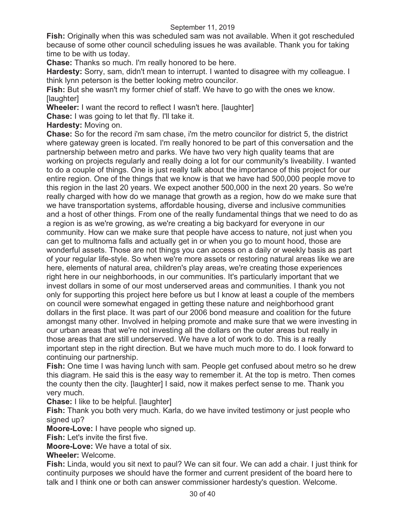**Fish:** Originally when this was scheduled sam was not available. When it got rescheduled because of some other council scheduling issues he was available. Thank you for taking time to be with us today.

**Chase:** Thanks so much. I'm really honored to be here.

**Hardesty:** Sorry, sam, didn't mean to interrupt. I wanted to disagree with my colleague. I think lynn peterson is the better looking metro councilor.

**Fish:** But she wasn't my former chief of staff. We have to go with the ones we know. [laughter]

**Wheeler:** I want the record to reflect I wasn't here. [laughter]

**Chase:** I was going to let that fly. I'll take it.

**Hardesty:** Moving on.

**Chase:** So for the record i'm sam chase, i'm the metro councilor for district 5, the district where gateway green is located. I'm really honored to be part of this conversation and the partnership between metro and parks. We have two very high quality teams that are working on projects regularly and really doing a lot for our community's liveability. I wanted to do a couple of things. One is just really talk about the importance of this project for our entire region. One of the things that we know is that we have had 500,000 people move to this region in the last 20 years. We expect another 500,000 in the next 20 years. So we're really charged with how do we manage that growth as a region, how do we make sure that we have transportation systems, affordable housing, diverse and inclusive communities and a host of other things. From one of the really fundamental things that we need to do as a region is as we're growing, as we're creating a big backyard for everyone in our community. How can we make sure that people have access to nature, not just when you can get to multnoma falls and actually get in or when you go to mount hood, those are wonderful assets. Those are not things you can access on a daily or weekly basis as part of your regular life-style. So when we're more assets or restoring natural areas like we are here, elements of natural area, children's play areas, we're creating those experiences right here in our neighborhoods, in our communities. It's particularly important that we invest dollars in some of our most underserved areas and communities. I thank you not only for supporting this project here before us but I know at least a couple of the members on council were somewhat engaged in getting these nature and neighborhood grant dollars in the first place. It was part of our 2006 bond measure and coalition for the future amongst many other. Involved in helping promote and make sure that we were investing in our urban areas that we're not investing all the dollars on the outer areas but really in those areas that are still underserved. We have a lot of work to do. This is a really important step in the right direction. But we have much much more to do. I look forward to continuing our partnership.

**Fish:** One time I was having lunch with sam. People get confused about metro so he drew this diagram. He said this is the easy way to remember it. At the top is metro. Then comes the county then the city. [laughter] I said, now it makes perfect sense to me. Thank you very much.

### **Chase:** I like to be helpful. [laughter]

**Fish:** Thank you both very much. Karla, do we have invited testimony or just people who signed up?

**Moore-Love:** I have people who signed up.

**Fish:** Let's invite the first five.

**Moore-Love:** We have a total of six.

### **Wheeler:** Welcome.

**Fish:** Linda, would you sit next to paul? We can sit four. We can add a chair. I just think for continuity purposes we should have the former and current president of the board here to talk and I think one or both can answer commissioner hardesty's question. Welcome.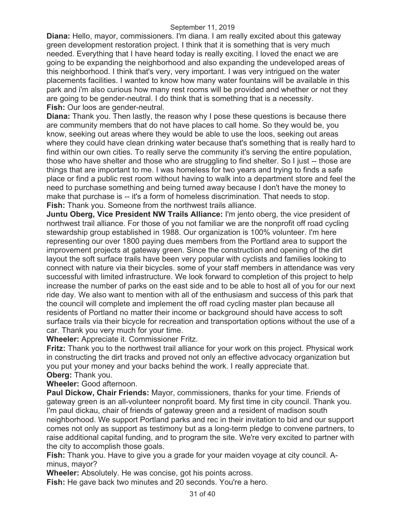**Diana:** Hello, mayor, commissioners. I'm diana. I am really excited about this gateway green development restoration project. I think that it is something that is very much needed. Everything that I have heard today is really exciting. I loved the enact we are going to be expanding the neighborhood and also expanding the undeveloped areas of this neighborhood. I think that's very, very important. I was very intrigued on the water placements facilities. I wanted to know how many water fountains will be available in this park and i'm also curious how many rest rooms will be provided and whether or not they are going to be gender-neutral. I do think that is something that is a necessity. **Fish:** Our loos are gender-neutral.

**Diana:** Thank you. Then lastly, the reason why I pose these questions is because there are community members that do not have places to call home. So they would be, you know, seeking out areas where they would be able to use the loos, seeking out areas where they could have clean drinking water because that's something that is really hard to find within our own cities. To really serve the community it's serving the entire population, those who have shelter and those who are struggling to find shelter. So I just -- those are things that are important to me. I was homeless for two years and trying to finds a safe place or find a public rest room without having to walk into a department store and feel the need to purchase something and being turned away because I don't have the money to make that purchase is -- it's a form of homeless discrimination. That needs to stop. **Fish:** Thank you. Someone from the northwest trails alliance.

**Juntu Oberg, Vice President NW Trails Alliance:** I'm jento oberg, the vice president of northwest trail alliance. For those of you not familiar we are the nonprofit off road cycling stewardship group established in 1988. Our organization is 100% volunteer. I'm here representing our over 1800 paying dues members from the Portland area to support the improvement projects at gateway green. Since the construction and opening of the dirt layout the soft surface trails have been very popular with cyclists and families looking to connect with nature via their bicycles. some of your staff members in attendance was very successful with limited infrastructure. We look forward to completion of this project to help increase the number of parks on the east side and to be able to host all of you for our next ride day. We also want to mention with all of the enthusiasm and success of this park that the council will complete and implement the off road cycling master plan because all residents of Portland no matter their income or background should have access to soft surface trails via their bicycle for recreation and transportation options without the use of a car. Thank you very much for your time.

**Wheeler:** Appreciate it. Commissioner Fritz.

**Fritz:** Thank you to the northwest trail alliance for your work on this project. Physical work in constructing the dirt tracks and proved not only an effective advocacy organization but you put your money and your backs behind the work. I really appreciate that. **Oberg:** Thank you.

**Wheeler:** Good afternoon.

**Paul Dickow, Chair Friends:** Mayor, commissioners, thanks for your time. Friends of gateway green is an all-volunteer nonprofit board. My first time in city council. Thank you. I'm paul dickau, chair of friends of gateway green and a resident of madison south neighborhood. We support Portland parks and rec in their invitation to bid and our support comes not only as support as testimony but as a long-term pledge to convene partners, to raise additional capital funding, and to program the site. We're very excited to partner with the city to accomplish those goals.

**Fish:** Thank you. Have to give you a grade for your maiden voyage at city council. Aminus, mayor?

**Wheeler:** Absolutely. He was concise, got his points across.

**Fish:** He gave back two minutes and 20 seconds. You're a hero.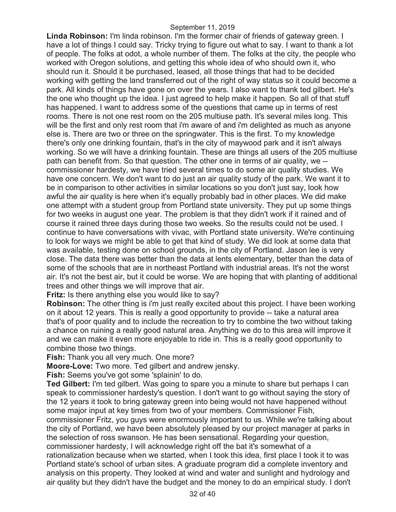**Linda Robinson:** I'm linda robinson. I'm the former chair of friends of gateway green. I have a lot of things I could say. Tricky trying to figure out what to say. I want to thank a lot of people. The folks at odot, a whole number of them. The folks at the city, the people who worked with Oregon solutions, and getting this whole idea of who should own it, who should run it. Should it be purchased, leased, all those things that had to be decided working with getting the land transferred out of the right of way status so it could become a park. All kinds of things have gone on over the years. I also want to thank ted gilbert. He's the one who thought up the idea. I just agreed to help make it happen. So all of that stuff has happened. I want to address some of the questions that came up in terms of rest rooms. There is not one rest room on the 205 multiuse path. It's several miles long. This will be the first and only rest room that i'm aware of and i'm delighted as much as anyone else is. There are two or three on the springwater. This is the first. To my knowledge there's only one drinking fountain, that's in the city of maywood park and it isn't always working. So we will have a drinking fountain. These are things all users of the 205 multiuse path can benefit from. So that question. The other one in terms of air quality, we - commissioner hardesty, we have tried several times to do some air quality studies. We have one concern. We don't want to do just an air quality study of the park. We want it to be in comparison to other activities in similar locations so you don't just say, look how awful the air quality is here when it's equally probably bad in other places. We did make one attempt with a student group from Portland state university. They put up some things for two weeks in august one year. The problem is that they didn't work if it rained and of course it rained three days during those two weeks. So the results could not be used. I continue to have conversations with vivac, with Portland state university. We're continuing to look for ways we might be able to get that kind of study. We did look at some data that was available, testing done on school grounds, in the city of Portland. Jason lee is very close. The data there was better than the data at lents elementary, better than the data of some of the schools that are in northeast Portland with industrial areas. It's not the worst air. It's not the best air, but it could be worse. We are hoping that with planting of additional trees and other things we will improve that air.

**Fritz:** Is there anything else you would like to say?

**Robinson:** The other thing is i'm just really excited about this project. I have been working on it about 12 years. This is really a good opportunity to provide -- take a natural area that's of poor quality and to include the recreation to try to combine the two without taking a chance on ruining a really good natural area. Anything we do to this area will improve it and we can make it even more enjoyable to ride in. This is a really good opportunity to combine those two things.

**Fish:** Thank you all very much. One more?

**Moore-Love:** Two more. Ted gilbert and andrew jensky.

**Fish:** Seems you've got some 'splainin' to do.

**Ted Gilbert:** I'm ted gilbert. Was going to spare you a minute to share but perhaps I can speak to commissioner hardesty's question. I don't want to go without saying the story of the 12 years it took to bring gateway green into being would not have happened without some major input at key times from two of your members. Commissioner Fish,

commissioner Fritz, you guys were enormously important to us. While we're talking about the city of Portland, we have been absolutely pleased by our project manager at parks in the selection of ross swanson. He has been sensational. Regarding your question, commissioner hardesty, I will acknowledge right off the bat it's somewhat of a

rationalization because when we started, when I took this idea, first place I took it to was Portland state's school of urban sites. A graduate program did a complete inventory and analysis on this property. They looked at wind and water and sunlight and hydrology and air quality but they didn't have the budget and the money to do an empirical study. I don't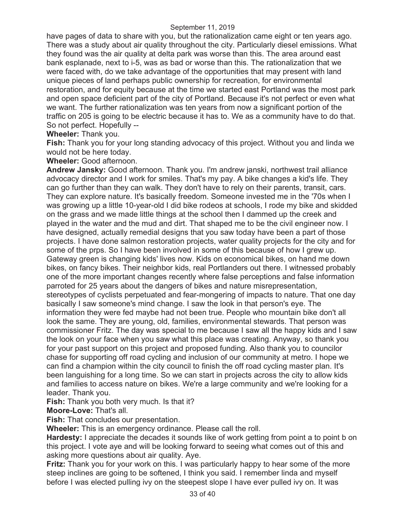have pages of data to share with you, but the rationalization came eight or ten years ago. There was a study about air quality throughout the city. Particularly diesel emissions. What they found was the air quality at delta park was worse than this. The area around east bank esplanade, next to i-5, was as bad or worse than this. The rationalization that we were faced with, do we take advantage of the opportunities that may present with land unique pieces of land perhaps public ownership for recreation, for environmental restoration, and for equity because at the time we started east Portland was the most park and open space deficient part of the city of Portland. Because it's not perfect or even what we want. The further rationalization was ten years from now a significant portion of the traffic on 205 is going to be electric because it has to. We as a community have to do that. So not perfect. Hopefully --

**Wheeler:** Thank you.

**Fish:** Thank you for your long standing advocacy of this project. Without you and linda we would not be here today.

**Wheeler:** Good afternoon.

**Andrew Jansky:** Good afternoon. Thank you. I'm andrew janski, northwest trail alliance advocacy director and I work for smiles. That's my pay. A bike changes a kid's life. They can go further than they can walk. They don't have to rely on their parents, transit, cars. They can explore nature. It's basically freedom. Someone invested me in the '70s when I was growing up a little 10-year-old I did bike rodeos at schools, I rode my bike and skidded on the grass and we made little things at the school then I dammed up the creek and played in the water and the mud and dirt. That shaped me to be the civil engineer now. I have designed, actually remedial designs that you saw today have been a part of those projects. I have done salmon restoration projects, water quality projects for the city and for some of the prps. So I have been involved in some of this because of how I grew up. Gateway green is changing kids' lives now. Kids on economical bikes, on hand me down bikes, on fancy bikes. Their neighbor kids, real Portlanders out there. I witnessed probably one of the more important changes recently where false perceptions and false information parroted for 25 years about the dangers of bikes and nature misrepresentation, stereotypes of cyclists perpetuated and fear-mongering of impacts to nature. That one day basically I saw someone's mind change. I saw the look in that person's eye. The information they were fed maybe had not been true. People who mountain bike don't all look the same. They are young, old, families, environmental stewards. That person was commissioner Fritz. The day was special to me because I saw all the happy kids and I saw the look on your face when you saw what this place was creating. Anyway, so thank you for your past support on this project and proposed funding. Also thank you to councilor chase for supporting off road cycling and inclusion of our community at metro. I hope we can find a champion within the city council to finish the off road cycling master plan. It's been languishing for a long time. So we can start in projects across the city to allow kids and families to access nature on bikes. We're a large community and we're looking for a leader. Thank you.

**Fish:** Thank you both very much. Is that it?

**Moore-Love:** That's all.

**Fish:** That concludes our presentation.

**Wheeler:** This is an emergency ordinance. Please call the roll.

**Hardesty:** I appreciate the decades it sounds like of work getting from point a to point b on this project. I vote aye and will be looking forward to seeing what comes out of this and asking more questions about air quality. Aye.

**Fritz:** Thank you for your work on this. I was particularly happy to hear some of the more steep inclines are going to be softened, I think you said. I remember linda and myself before I was elected pulling ivy on the steepest slope I have ever pulled ivy on. It was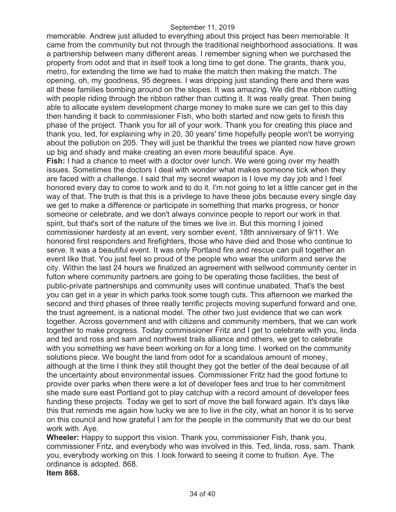memorable. Andrew just alluded to everything about this project has been memorable. It came from the community but not through the traditional neighborhood associations. It was a partnership between many different areas. I remember signing when we purchased the property from odot and that in itself took a long time to get done. The grants, thank you, metro, for extending the time we had to make the match then making the match. The opening, oh, my goodness, 95 degrees. I was dripping just standing there and there was all these families bombing around on the slopes. It was amazing. We did the ribbon cutting with people riding through the ribbon rather than cutting it. It was really great. Then being able to allocate system development charge money to make sure we can get to this day then handing it back to commissioner Fish, who both started and now gets to finish this phase of the project. Thank you for all of your work. Thank you for creating this place and thank you, ted, for explaining why in 20, 30 years' time hopefully people won't be worrying about the pollution on 205. They will just be thankful the trees we planted now have grown up big and shady and make creating an even more beautiful space. Aye. **Fish:** I had a chance to meet with a doctor over lunch. We were going over my health issues. Sometimes the doctors I deal with wonder what makes someone tick when they are faced with a challenge. I said that my secret weapon is I love my day job and I feel honored every day to come to work and to do it. I'm not going to let a little cancer get in the way of that. The truth is that this is a privilege to have these jobs because every single day we get to make a difference or participate in something that marks progress, or honor someone or celebrate, and we don't always convince people to report our work in that spirit, but that's sort of the nature of the times we live in. But this morning I joined commissioner hardesty at an event, very somber event, 18th anniversary of 9/11. We honored first responders and firefighters, those who have died and those who continue to serve. It was a beautiful event. It was only Portland fire and rescue can pull together an event like that. You just feel so proud of the people who wear the uniform and serve the city. Within the last 24 hours we finalized an agreement with sellwood community center in fulton where community partners are going to be operating those facilities, the best of public-private partnerships and community uses will continue unabated. That's the best you can get in a year in which parks took some tough cuts. This afternoon we marked the second and third phases of three really terrific projects moving superfund forward and one, the trust agreement, is a national model. The other two just evidence that we can work together. Across government and with citizens and community members, that we can work together to make progress. Today commissioner Fritz and I get to celebrate with you, linda and ted and ross and sam and northwest trails alliance and others, we get to celebrate with you something we have been working on for a long time. I worked on the community solutions piece. We bought the land from odot for a scandalous amount of money, although at the time I think they still thought they got the better of the deal because of all the uncertainty about environmental issues. Commissioner Fritz had the good fortune to provide over parks when there were a lot of developer fees and true to her commitment she made sure east Portland got to play catchup with a record amount of developer fees funding these projects. Today we get to sort of move the ball forward again. It's days like this that reminds me again how lucky we are to live in the city, what an honor it is to serve on this council and how grateful I am for the people in the community that we do our best work with. Aye.

**Wheeler:** Happy to support this vision. Thank you, commissioner Fish, thank you, commissioner Fritz, and everybody who was involved in this. Ted, linda, ross, sam. Thank you, everybody working on this. I look forward to seeing it come to fruition. Aye. The ordinance is adopted. 868. **Item 868.**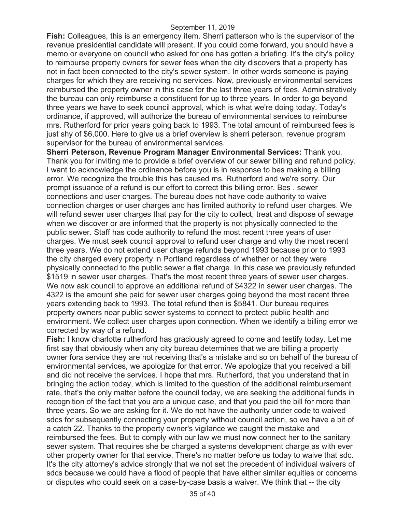**Fish:** Colleagues, this is an emergency item. Sherri patterson who is the supervisor of the revenue presidential candidate will present. If you could come forward, you should have a memo or everyone on council who asked for one has gotten a briefing. It's the city's policy to reimburse property owners for sewer fees when the city discovers that a property has not in fact been connected to the city's sewer system. In other words someone is paying charges for which they are receiving no services. Now, previously environmental services reimbursed the property owner in this case for the last three years of fees. Administratively the bureau can only reimburse a constituent for up to three years. In order to go beyond three years we have to seek council approval, which is what we're doing today. Today's ordinance, if approved, will authorize the bureau of environmental services to reimburse mrs. Rutherford for prior years going back to 1993. The total amount of reimbursed fees is just shy of \$6,000. Here to give us a brief overview is sherri peterson, revenue program supervisor for the bureau of environmental services.

**Sherri Peterson, Revenue Program Manager Environmental Services:** Thank you. Thank you for inviting me to provide a brief overview of our sewer billing and refund policy. I want to acknowledge the ordinance before you is in response to bes making a billing error. We recognize the trouble this has caused ms. Rutherford and we're sorry. Our prompt issuance of a refund is our effort to correct this billing error. Bes . sewer connections and user charges. The bureau does not have code authority to waive connection charges or user charges and has limited authority to refund user charges. We will refund sewer user charges that pay for the city to collect, treat and dispose of sewage when we discover or are informed that the property is not physically connected to the public sewer. Staff has code authority to refund the most recent three years of user charges. We must seek council approval to refund user charge and why the most recent three years. We do not extend user charge refunds beyond 1993 because prior to 1993 the city charged every property in Portland regardless of whether or not they were physically connected to the public sewer a flat charge. In this case we previously refunded \$1519 in sewer user charges. That's the most recent three years of sewer user charges. We now ask council to approve an additional refund of \$4322 in sewer user charges. The 4322 is the amount she paid for sewer user charges going beyond the most recent three years extending back to 1993. The total refund then is \$5841. Our bureau requires property owners near public sewer systems to connect to protect public health and environment. We collect user charges upon connection. When we identify a billing error we corrected by way of a refund.

**Fish:** I know charlotte rutherford has graciously agreed to come and testify today. Let me first say that obviously when any city bureau determines that we are billing a property owner fora service they are not receiving that's a mistake and so on behalf of the bureau of environmental services, we apologize for that error. We apologize that you received a bill and did not receive the services. I hope that mrs. Rutherford, that you understand that in bringing the action today, which is limited to the question of the additional reimbursement rate, that's the only matter before the council today, we are seeking the additional funds in recognition of the fact that you are a unique case, and that you paid the bill for more than three years. So we are asking for it. We do not have the authority under code to waived sdcs for subsequently connecting your property without council action, so we have a bit of a catch 22. Thanks to the property owner's vigilance we caught the mistake and reimbursed the fees. But to comply with our law we must now connect her to the sanitary sewer system. That requires she be charged a systems development charge as with ever other property owner for that service. There's no matter before us today to waive that sdc. It's the city attorney's advice strongly that we not set the precedent of individual waivers of sdcs because we could have a flood of people that have either similar equities or concerns or disputes who could seek on a case-by-case basis a waiver. We think that -- the city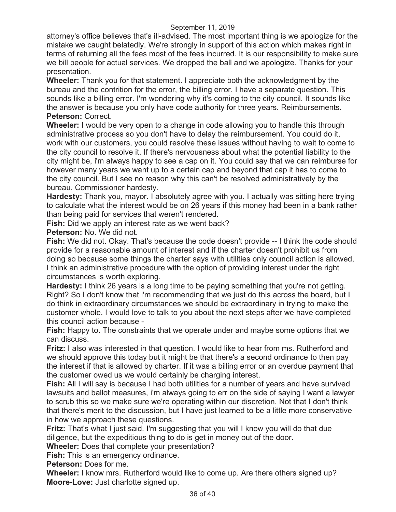attorney's office believes that's ill-advised. The most important thing is we apologize for the mistake we caught belatedly. We're strongly in support of this action which makes right in terms of returning all the fees most of the fees incurred. It is our responsibility to make sure we bill people for actual services. We dropped the ball and we apologize. Thanks for your presentation.

**Wheeler:** Thank you for that statement. I appreciate both the acknowledgment by the bureau and the contrition for the error, the billing error. I have a separate question. This sounds like a billing error. I'm wondering why it's coming to the city council. It sounds like the answer is because you only have code authority for three years. Reimbursements. **Peterson:** Correct.

**Wheeler:** I would be very open to a change in code allowing you to handle this through administrative process so you don't have to delay the reimbursement. You could do it, work with our customers, you could resolve these issues without having to wait to come to the city council to resolve it. If there's nervousness about what the potential liability to the city might be, i'm always happy to see a cap on it. You could say that we can reimburse for however many years we want up to a certain cap and beyond that cap it has to come to the city council. But I see no reason why this can't be resolved administratively by the bureau. Commissioner hardesty.

**Hardesty:** Thank you, mayor. I absolutely agree with you. I actually was sitting here trying to calculate what the interest would be on 26 years if this money had been in a bank rather than being paid for services that weren't rendered.

**Fish:** Did we apply an interest rate as we went back?

**Peterson:** No. We did not.

**Fish:** We did not. Okay. That's because the code doesn't provide -- I think the code should provide for a reasonable amount of interest and if the charter doesn't prohibit us from doing so because some things the charter says with utilities only council action is allowed, I think an administrative procedure with the option of providing interest under the right circumstances is worth exploring.

**Hardesty:** I think 26 years is a long time to be paying something that you're not getting. Right? So I don't know that i'm recommending that we just do this across the board, but I do think in extraordinary circumstances we should be extraordinary in trying to make the customer whole. I would love to talk to you about the next steps after we have completed this council action because -

**Fish:** Happy to. The constraints that we operate under and maybe some options that we can discuss.

**Fritz:** I also was interested in that question. I would like to hear from ms. Rutherford and we should approve this today but it might be that there's a second ordinance to then pay the interest if that is allowed by charter. If it was a billing error or an overdue payment that the customer owed us we would certainly be charging interest.

**Fish:** All I will say is because I had both utilities for a number of years and have survived lawsuits and ballot measures, i'm always going to err on the side of saying I want a lawyer to scrub this so we make sure we're operating within our discretion. Not that I don't think that there's merit to the discussion, but I have just learned to be a little more conservative in how we approach these questions.

**Fritz:** That's what I just said. I'm suggesting that you will I know you will do that due diligence, but the expeditious thing to do is get in money out of the door.

**Wheeler:** Does that complete your presentation?

**Fish:** This is an emergency ordinance.

**Peterson:** Does for me.

**Wheeler:** I know mrs. Rutherford would like to come up. Are there others signed up? **Moore-Love:** Just charlotte signed up.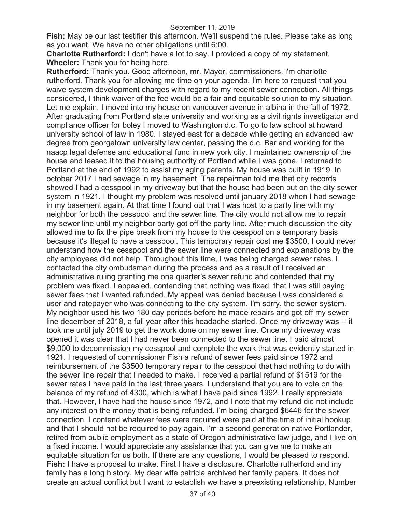**Fish:** May be our last testifier this afternoon. We'll suspend the rules. Please take as long as you want. We have no other obligations until 6:00.

**Charlotte Rutherford:** I don't have a lot to say. I provided a copy of my statement. **Wheeler:** Thank you for being here.

**Rutherford:** Thank you. Good afternoon, mr. Mayor, commissioners, i'm charlotte rutherford. Thank you for allowing me time on your agenda. I'm here to request that you waive system development charges with regard to my recent sewer connection. All things considered, I think waiver of the fee would be a fair and equitable solution to my situation. Let me explain. I moved into my house on vancouver avenue in albina in the fall of 1972. After graduating from Portland state university and working as a civil rights investigator and compliance officer for boley I moved to Washington d.c. To go to law school at howard university school of law in 1980. I stayed east for a decade while getting an advanced law degree from georgetown university law center, passing the d.c. Bar and working for the naacp legal defense and educational fund in new york city. I maintained ownership of the house and leased it to the housing authority of Portland while I was gone. I returned to Portland at the end of 1992 to assist my aging parents. My house was built in 1919. In october 2017 I had sewage in my basement. The repairman told me that city records showed I had a cesspool in my driveway but that the house had been put on the city sewer system in 1921. I thought my problem was resolved until january 2018 when I had sewage in my basement again. At that time I found out that I was host to a party line with my neighbor for both the cesspool and the sewer line. The city would not allow me to repair my sewer line until my neighbor party got off the party line. After much discussion the city allowed me to fix the pipe break from my house to the cesspool on a temporary basis because it's illegal to have a cesspool. This temporary repair cost me \$3500. I could never understand how the cesspool and the sewer line were connected and explanations by the city employees did not help. Throughout this time, I was being charged sewer rates. I contacted the city ombudsman during the process and as a result of I received an administrative ruling granting me one quarter's sewer refund and contended that my problem was fixed. I appealed, contending that nothing was fixed, that I was still paying sewer fees that I wanted refunded. My appeal was denied because I was considered a user and ratepayer who was connecting to the city system. I'm sorry, the sewer system. My neighbor used his two 180 day periods before he made repairs and got off my sewer line december of 2018, a full year after this headache started. Once my driveway was -- it took me until july 2019 to get the work done on my sewer line. Once my driveway was opened it was clear that I had never been connected to the sewer line. I paid almost \$9,000 to decommission my cesspool and complete the work that was evidently started in 1921. I requested of commissioner Fish a refund of sewer fees paid since 1972 and reimbursement of the \$3500 temporary repair to the cesspool that had nothing to do with the sewer line repair that I needed to make. I received a partial refund of \$1519 for the sewer rates I have paid in the last three years. I understand that you are to vote on the balance of my refund of 4300, which is what I have paid since 1992. I really appreciate that. However, I have had the house since 1972, and I note that my refund did not include any interest on the money that is being refunded. I'm being charged \$6446 for the sewer connection. I contend whatever fees were required were paid at the time of initial hookup and that I should not be required to pay again. I'm a second generation native Portlander, retired from public employment as a state of Oregon administrative law judge, and I live on a fixed income. I would appreciate any assistance that you can give me to make an equitable situation for us both. If there are any questions, I would be pleased to respond. **Fish:** I have a proposal to make. First I have a disclosure. Charlotte rutherford and my family has a long history. My dear wife patricia archived her family papers. It does not create an actual conflict but I want to establish we have a preexisting relationship. Number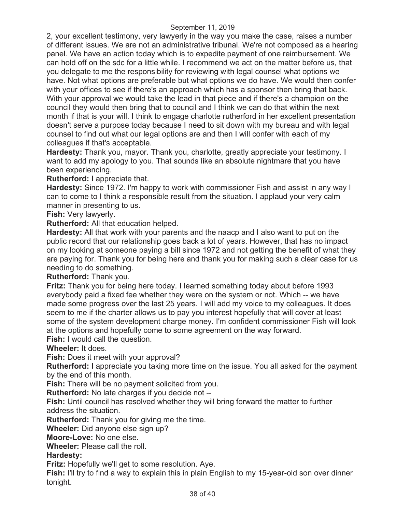2, your excellent testimony, very lawyerly in the way you make the case, raises a number of different issues. We are not an administrative tribunal. We're not composed as a hearing panel. We have an action today which is to expedite payment of one reimbursement. We can hold off on the sdc for a little while. I recommend we act on the matter before us, that you delegate to me the responsibility for reviewing with legal counsel what options we have. Not what options are preferable but what options we do have. We would then confer with your offices to see if there's an approach which has a sponsor then bring that back. With your approval we would take the lead in that piece and if there's a champion on the council they would then bring that to council and I think we can do that within the next month if that is your will. I think to engage charlotte rutherford in her excellent presentation doesn't serve a purpose today because I need to sit down with my bureau and with legal counsel to find out what our legal options are and then I will confer with each of my colleagues if that's acceptable.

**Hardesty:** Thank you, mayor. Thank you, charlotte, greatly appreciate your testimony. I want to add my apology to you. That sounds like an absolute nightmare that you have been experiencing.

**Rutherford:** I appreciate that.

**Hardesty:** Since 1972. I'm happy to work with commissioner Fish and assist in any way I can to come to I think a responsible result from the situation. I applaud your very calm manner in presenting to us.

**Fish:** Very lawyerly.

**Rutherford:** All that education helped.

**Hardesty:** All that work with your parents and the naacp and I also want to put on the public record that our relationship goes back a lot of years. However, that has no impact on my looking at someone paying a bill since 1972 and not getting the benefit of what they are paying for. Thank you for being here and thank you for making such a clear case for us needing to do something.

**Rutherford:** Thank you.

**Fritz:** Thank you for being here today. I learned something today about before 1993 everybody paid a fixed fee whether they were on the system or not. Which -- we have made some progress over the last 25 years. I will add my voice to my colleagues. It does seem to me if the charter allows us to pay you interest hopefully that will cover at least some of the system development charge money. I'm confident commissioner Fish will look at the options and hopefully come to some agreement on the way forward.

**Fish:** I would call the question.

**Wheeler:** It does.

**Fish:** Does it meet with your approval?

**Rutherford:** I appreciate you taking more time on the issue. You all asked for the payment by the end of this month.

**Fish:** There will be no payment solicited from you.

**Rutherford:** No late charges if you decide not --

**Fish:** Until council has resolved whether they will bring forward the matter to further address the situation.

**Rutherford:** Thank you for giving me the time.

**Wheeler:** Did anyone else sign up?

**Moore-Love:** No one else.

**Wheeler:** Please call the roll.

## **Hardesty:**

**Fritz:** Hopefully we'll get to some resolution. Aye.

**Fish:** I'll try to find a way to explain this in plain English to my 15-year-old son over dinner tonight.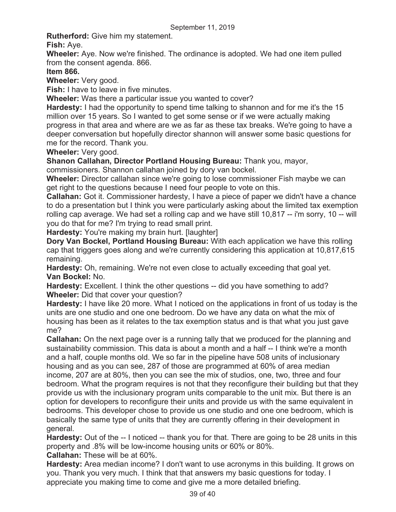**Rutherford:** Give him my statement.

**Fish:** Aye.

**Wheeler:** Aye. Now we're finished. The ordinance is adopted. We had one item pulled from the consent agenda. 866.

**Item 866.** 

**Wheeler:** Very good.

**Fish:** I have to leave in five minutes.

**Wheeler:** Was there a particular issue you wanted to cover?

**Hardesty:** I had the opportunity to spend time talking to shannon and for me it's the 15 million over 15 years. So I wanted to get some sense or if we were actually making progress in that area and where are we as far as these tax breaks. We're going to have a deeper conversation but hopefully director shannon will answer some basic questions for me for the record. Thank you.

**Wheeler:** Very good.

**Shanon Callahan, Director Portland Housing Bureau:** Thank you, mayor,

commissioners. Shannon callahan joined by dory van bockel.

**Wheeler:** Director callahan since we're going to lose commissioner Fish maybe we can get right to the questions because I need four people to vote on this.

**Callahan:** Got it. Commissioner hardesty, I have a piece of paper we didn't have a chance to do a presentation but I think you were particularly asking about the limited tax exemption rolling cap average. We had set a rolling cap and we have still 10,817 -- i'm sorry, 10 -- will you do that for me? I'm trying to read small print.

**Hardesty:** You're making my brain hurt. [laughter]

**Dory Van Bockel, Portland Housing Bureau:** With each application we have this rolling cap that triggers goes along and we're currently considering this application at 10,817,615 remaining.

**Hardesty:** Oh, remaining. We're not even close to actually exceeding that goal yet. **Van Bockel:** No.

**Hardesty:** Excellent. I think the other questions -- did you have something to add? **Wheeler:** Did that cover your question?

**Hardesty:** I have like 20 more. What I noticed on the applications in front of us today is the units are one studio and one one bedroom. Do we have any data on what the mix of housing has been as it relates to the tax exemption status and is that what you just gave me?

**Callahan:** On the next page over is a running tally that we produced for the planning and sustainability commission. This data is about a month and a half -- I think we're a month and a half, couple months old. We so far in the pipeline have 508 units of inclusionary housing and as you can see, 287 of those are programmed at 60% of area median income, 207 are at 80%, then you can see the mix of studios, one, two, three and four bedroom. What the program requires is not that they reconfigure their building but that they provide us with the inclusionary program units comparable to the unit mix. But there is an option for developers to reconfigure their units and provide us with the same equivalent in bedrooms. This developer chose to provide us one studio and one one bedroom, which is basically the same type of units that they are currently offering in their development in general.

**Hardesty:** Out of the -- I noticed -- thank you for that. There are going to be 28 units in this property and .8% will be low-income housing units or 60% or 80%.

**Callahan:** These will be at 60%.

**Hardesty:** Area median income? I don't want to use acronyms in this building. It grows on you. Thank you very much. I think that that answers my basic questions for today. I appreciate you making time to come and give me a more detailed briefing.